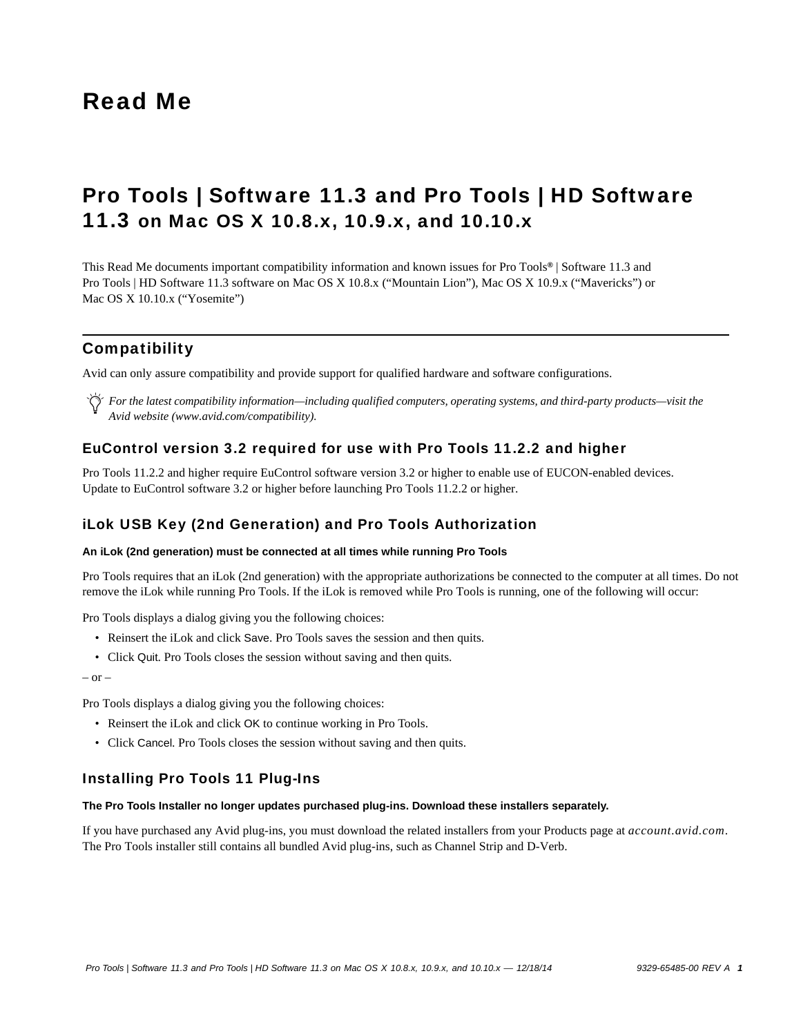# Read Me

# Pro Tools | Software 11.3 and Pro Tools | HD Software 11.3 on Mac OS X 10.8.x, 10.9.x, and 10.10.x

This Read Me documents important compatibility information and known issues for Pro Tools*®* | Software 11.3 and Pro Tools | HD Software 11.3 software on Mac OS X 10.8.x ("Mountain Lion"), Mac OS X 10.9.x ("Mavericks") or Mac OS X 10.10.x ("Yosemite")

# Compatibility

Avid can only assure compatibility and provide support for qualified hardware and software configurations.

*For the latest compatibility information—including qualified computers, operating systems, and third-party products—visit the Avid website (www.avid.com/compatibility).*

# EuControl version 3.2 required for use with Pro Tools 11.2.2 and higher

Pro Tools 11.2.2 and higher require EuControl software version 3.2 or higher to enable use of EUCON-enabled devices. Update to EuControl software 3.2 or higher before launching Pro Tools 11.2.2 or higher.

### iLok USB Key (2nd Generation) and Pro Tools Authorization

### **An iLok (2nd generation) must be connected at all times while running Pro Tools**

Pro Tools requires that an iLok (2nd generation) with the appropriate authorizations be connected to the computer at all times. Do not remove the iLok while running Pro Tools. If the iLok is removed while Pro Tools is running, one of the following will occur:

Pro Tools displays a dialog giving you the following choices:

- Reinsert the iLok and click Save. Pro Tools saves the session and then quits.
- Click Quit. Pro Tools closes the session without saving and then quits.

– or –

Pro Tools displays a dialog giving you the following choices:

- Reinsert the iLok and click OK to continue working in Pro Tools.
- Click Cancel. Pro Tools closes the session without saving and then quits.

### Installing Pro Tools 11 Plug-Ins

### **The Pro Tools Installer no longer updates purchased plug-ins. Download these installers separately.**

If you have purchased any Avid plug-ins, you must download the related installers from your Products page at *account.avid.com*. The Pro Tools installer still contains all bundled Avid plug-ins, such as Channel Strip and D-Verb.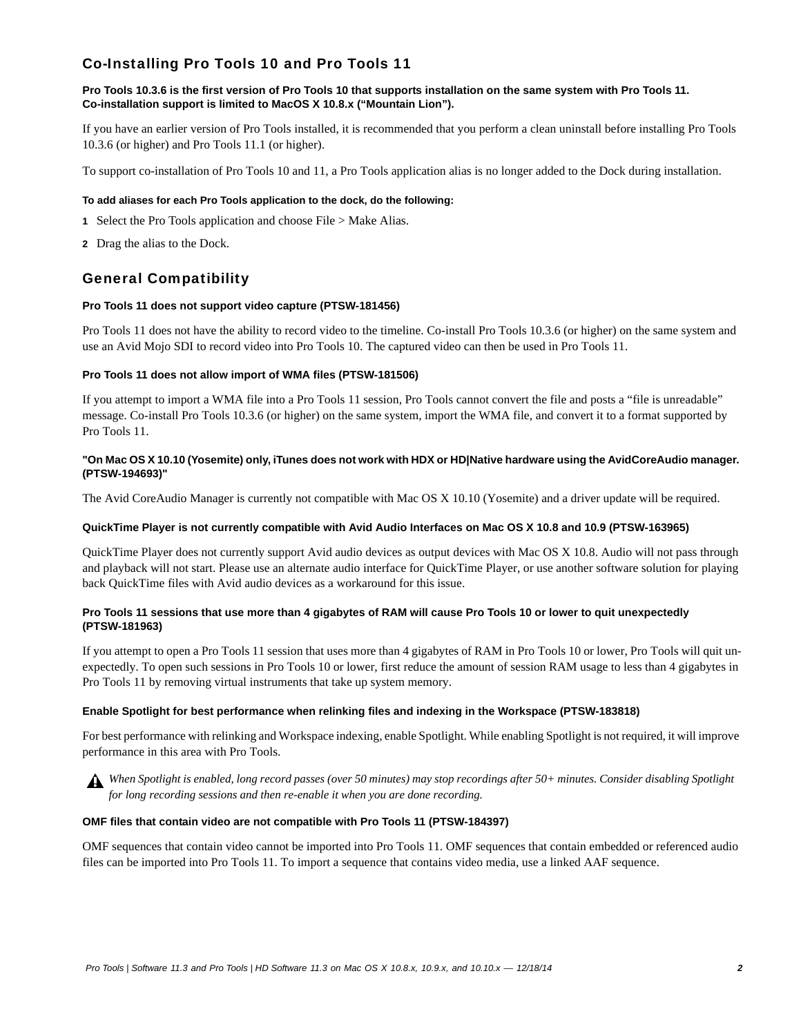# Co-Installing Pro Tools 10 and Pro Tools 11

### **Pro Tools 10.3.6 is the first version of Pro Tools 10 that supports installation on the same system with Pro Tools 11. Co-installation support is limited to MacOS X 10.8.x ("Mountain Lion").**

If you have an earlier version of Pro Tools installed, it is recommended that you perform a clean uninstall before installing Pro Tools 10.3.6 (or higher) and Pro Tools 11.1 (or higher).

To support co-installation of Pro Tools 10 and 11, a Pro Tools application alias is no longer added to the Dock during installation.

### **To add aliases for each Pro Tools application to the dock, do the following:**

- **1** Select the Pro Tools application and choose File > Make Alias.
- **2** Drag the alias to the Dock.

# General Compatibility

### **Pro Tools 11 does not support video capture (PTSW-181456)**

Pro Tools 11 does not have the ability to record video to the timeline. Co-install Pro Tools 10.3.6 (or higher) on the same system and use an Avid Mojo SDI to record video into Pro Tools 10. The captured video can then be used in Pro Tools 11.

### **Pro Tools 11 does not allow import of WMA files (PTSW-181506)**

If you attempt to import a WMA file into a Pro Tools 11 session, Pro Tools cannot convert the file and posts a "file is unreadable" message. Co-install Pro Tools 10.3.6 (or higher) on the same system, import the WMA file, and convert it to a format supported by Pro Tools 11.

### **"On Mac OS X 10.10 (Yosemite) only, iTunes does not work with HDX or HD|Native hardware using the AvidCoreAudio manager. (PTSW-194693)"**

The Avid CoreAudio Manager is currently not compatible with Mac OS X 10.10 (Yosemite) and a driver update will be required.

### **QuickTime Player is not currently compatible with Avid Audio Interfaces on Mac OS X 10.8 and 10.9 (PTSW-163965)**

QuickTime Player does not currently support Avid audio devices as output devices with Mac OS X 10.8. Audio will not pass through and playback will not start. Please use an alternate audio interface for QuickTime Player, or use another software solution for playing back QuickTime files with Avid audio devices as a workaround for this issue.

### **Pro Tools 11 sessions that use more than 4 gigabytes of RAM will cause Pro Tools 10 or lower to quit unexpectedly (PTSW-181963)**

If you attempt to open a Pro Tools 11 session that uses more than 4 gigabytes of RAM in Pro Tools 10 or lower, Pro Tools will quit unexpectedly. To open such sessions in Pro Tools 10 or lower, first reduce the amount of session RAM usage to less than 4 gigabytes in Pro Tools 11 by removing virtual instruments that take up system memory.

### **Enable Spotlight for best performance when relinking files and indexing in the Workspace (PTSW-183818)**

For best performance with relinking and Workspace indexing, enable Spotlight. While enabling Spotlight is not required, it will improve performance in this area with Pro Tools.

*When Spotlight is enabled, long record passes (over 50 minutes) may stop recordings after 50+ minutes. Consider disabling Spotlight for long recording sessions and then re-enable it when you are done recording.*

### **OMF files that contain video are not compatible with Pro Tools 11 (PTSW-184397)**

OMF sequences that contain video cannot be imported into Pro Tools 11. OMF sequences that contain embedded or referenced audio files can be imported into Pro Tools 11. To import a sequence that contains video media, use a linked AAF sequence.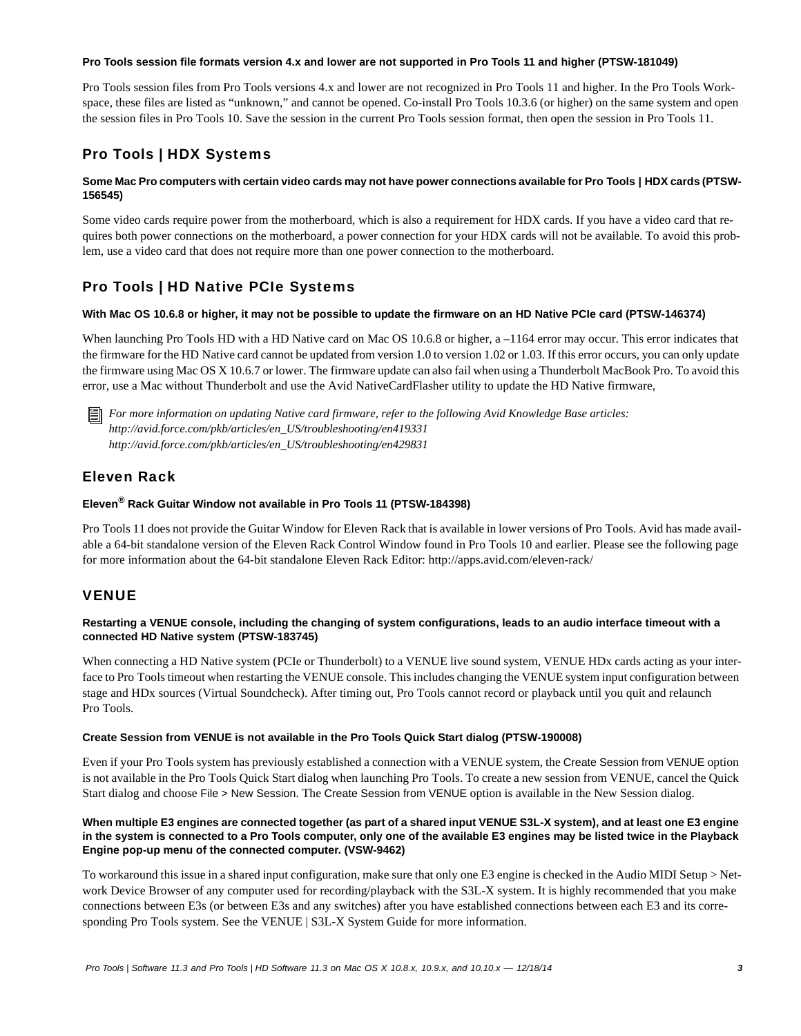### **Pro Tools session file formats version 4.x and lower are not supported in Pro Tools 11 and higher (PTSW-181049)**

Pro Tools session files from Pro Tools versions 4.x and lower are not recognized in Pro Tools 11 and higher. In the Pro Tools Workspace, these files are listed as "unknown," and cannot be opened. Co-install Pro Tools 10.3.6 (or higher) on the same system and open the session files in Pro Tools 10. Save the session in the current Pro Tools session format, then open the session in Pro Tools 11.

# Pro Tools | HDX Systems

### Some Mac Pro computers with certain video cards may not have power connections available for Pro Tools | HDX cards (PTSW-**156545)**

Some video cards require power from the motherboard, which is also a requirement for HDX cards. If you have a video card that requires both power connections on the motherboard, a power connection for your HDX cards will not be available. To avoid this problem, use a video card that does not require more than one power connection to the motherboard.

# Pro Tools | HD Native PCIe Systems

### **With Mac OS 10.6.8 or higher, it may not be possible to update the firmware on an HD Native PCIe card (PTSW-146374)**

When launching Pro Tools HD with a HD Native card on Mac OS 10.6.8 or higher, a –1164 error may occur. This error indicates that the firmware for the HD Native card cannot be updated from version 1.0 to version 1.02 or 1.03. If this error occurs, you can only update the firmware using Mac OS X 10.6.7 or lower. The firmware update can also fail when using a Thunderbolt MacBook Pro. To avoid this error, use a Mac without Thunderbolt and use the Avid NativeCardFlasher utility to update the HD Native firmware,

*For more information on updating Native card firmware, refer to the following Avid Knowledge Base articles: http://avid.force.com/pkb/articles/en\_US/troubleshooting/en419331 http://avid.force.com/pkb/articles/en\_US/troubleshooting/en429831*

# Eleven Rack

### **Eleven® Rack Guitar Window not available in Pro Tools 11 (PTSW-184398)**

Pro Tools 11 does not provide the Guitar Window for Eleven Rack that is available in lower versions of Pro Tools. Avid has made available a 64-bit standalone version of the Eleven Rack Control Window found in Pro Tools 10 and earlier. Please see the following page for more information about the 64-bit standalone Eleven Rack Editor: http://apps.avid.com/eleven-rack/

# VENUE

### **Restarting a VENUE console, including the changing of system configurations, leads to an audio interface timeout with a connected HD Native system (PTSW-183745)**

When connecting a HD Native system (PCIe or Thunderbolt) to a VENUE live sound system, VENUE HDx cards acting as your interface to Pro Tools timeout when restarting the VENUE console. This includes changing the VENUE system input configuration between stage and HDx sources (Virtual Soundcheck). After timing out, Pro Tools cannot record or playback until you quit and relaunch Pro Tools.

### **Create Session from VENUE is not available in the Pro Tools Quick Start dialog (PTSW-190008)**

Even if your Pro Tools system has previously established a connection with a VENUE system, the Create Session from VENUE option is not available in the Pro Tools Quick Start dialog when launching Pro Tools. To create a new session from VENUE, cancel the Quick Start dialog and choose File > New Session. The Create Session from VENUE option is available in the New Session dialog.

### **When multiple E3 engines are connected together (as part of a shared input VENUE S3L-X system), and at least one E3 engine in the system is connected to a Pro Tools computer, only one of the available E3 engines may be listed twice in the Playback Engine pop-up menu of the connected computer. (VSW-9462)**

To workaround this issue in a shared input configuration, make sure that only one E3 engine is checked in the Audio MIDI Setup > Network Device Browser of any computer used for recording/playback with the S3L-X system. It is highly recommended that you make connections between E3s (or between E3s and any switches) after you have established connections between each E3 and its corresponding Pro Tools system. See the VENUE | S3L-X System Guide for more information.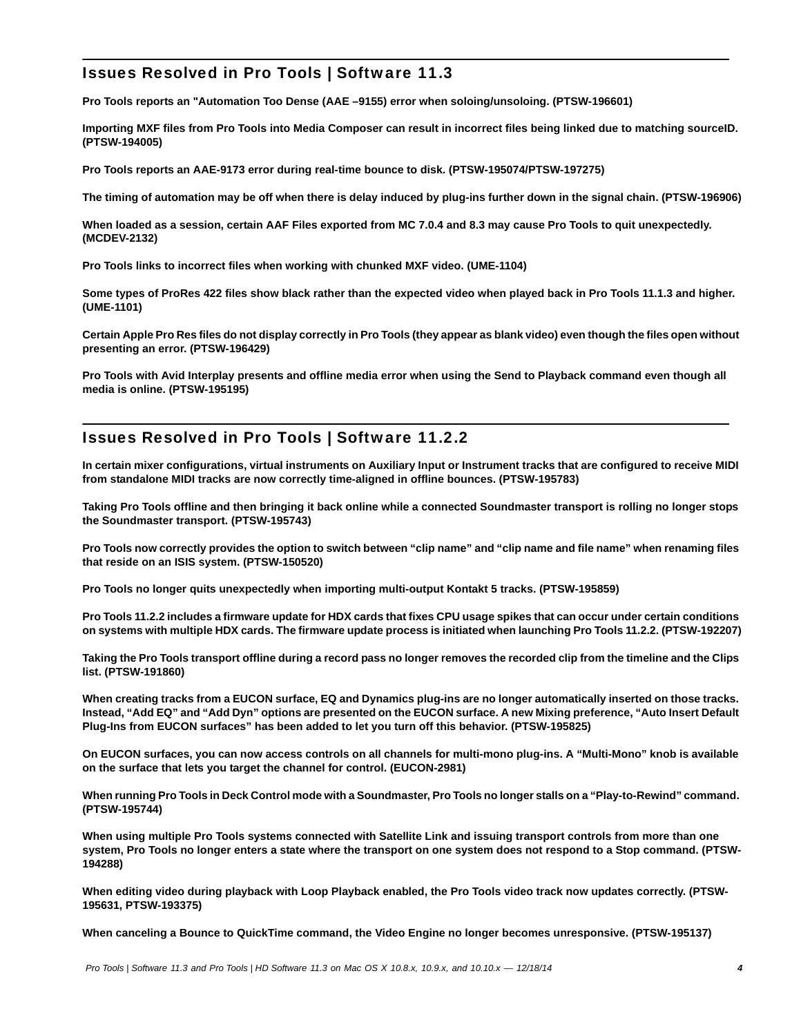# Issues Resolved in Pro Tools | Software 11.3

**Pro Tools reports an "Automation Too Dense (AAE –9155) error when soloing/unsoloing. (PTSW-196601)**

**Importing MXF files from Pro Tools into Media Composer can result in incorrect files being linked due to matching sourceID. (PTSW-194005)**

**Pro Tools reports an AAE-9173 error during real-time bounce to disk. (PTSW-195074/PTSW-197275)**

**The timing of automation may be off when there is delay induced by plug-ins further down in the signal chain. (PTSW-196906)**

**When loaded as a session, certain AAF Files exported from MC 7.0.4 and 8.3 may cause Pro Tools to quit unexpectedly. (MCDEV-2132)**

**Pro Tools links to incorrect files when working with chunked MXF video. (UME-1104)**

**Some types of ProRes 422 files show black rather than the expected video when played back in Pro Tools 11.1.3 and higher. (UME-1101)**

**Certain Apple Pro Res files do not display correctly in Pro Tools (they appear as blank video) even though the files open without presenting an error. (PTSW-196429)**

**Pro Tools with Avid Interplay presents and offline media error when using the Send to Playback command even though all media is online. (PTSW-195195)**

# Issues Resolved in Pro Tools | Software 11.2.2

**In certain mixer configurations, virtual instruments on Auxiliary Input or Instrument tracks that are configured to receive MIDI from standalone MIDI tracks are now correctly time-aligned in offline bounces. (PTSW-195783)**

**Taking Pro Tools offline and then bringing it back online while a connected Soundmaster transport is rolling no longer stops the Soundmaster transport. (PTSW-195743)**

**Pro Tools now correctly provides the option to switch between "clip name" and "clip name and file name" when renaming files that reside on an ISIS system. (PTSW-150520)**

**Pro Tools no longer quits unexpectedly when importing multi-output Kontakt 5 tracks. (PTSW-195859)**

**Pro Tools 11.2.2 includes a firmware update for HDX cards that fixes CPU usage spikes that can occur under certain conditions on systems with multiple HDX cards. The firmware update process is initiated when launching Pro Tools 11.2.2. (PTSW-192207)**

**Taking the Pro Tools transport offline during a record pass no longer removes the recorded clip from the timeline and the Clips list. (PTSW-191860)**

**When creating tracks from a EUCON surface, EQ and Dynamics plug-ins are no longer automatically inserted on those tracks. Instead, "Add EQ" and "Add Dyn" options are presented on the EUCON surface. A new Mixing preference, "Auto Insert Default Plug-Ins from EUCON surfaces" has been added to let you turn off this behavior. (PTSW-195825)**

**On EUCON surfaces, you can now access controls on all channels for multi-mono plug-ins. A "Multi-Mono" knob is available on the surface that lets you target the channel for control. (EUCON-2981)**

**When running Pro Tools in Deck Control mode with a Soundmaster, Pro Tools no longer stalls on a "Play-to-Rewind" command. (PTSW-195744)**

**When using multiple Pro Tools systems connected with Satellite Link and issuing transport controls from more than one system, Pro Tools no longer enters a state where the transport on one system does not respond to a Stop command. (PTSW-194288)**

**When editing video during playback with Loop Playback enabled, the Pro Tools video track now updates correctly. (PTSW-195631, PTSW-193375)**

**When canceling a Bounce to QuickTime command, the Video Engine no longer becomes unresponsive. (PTSW-195137)**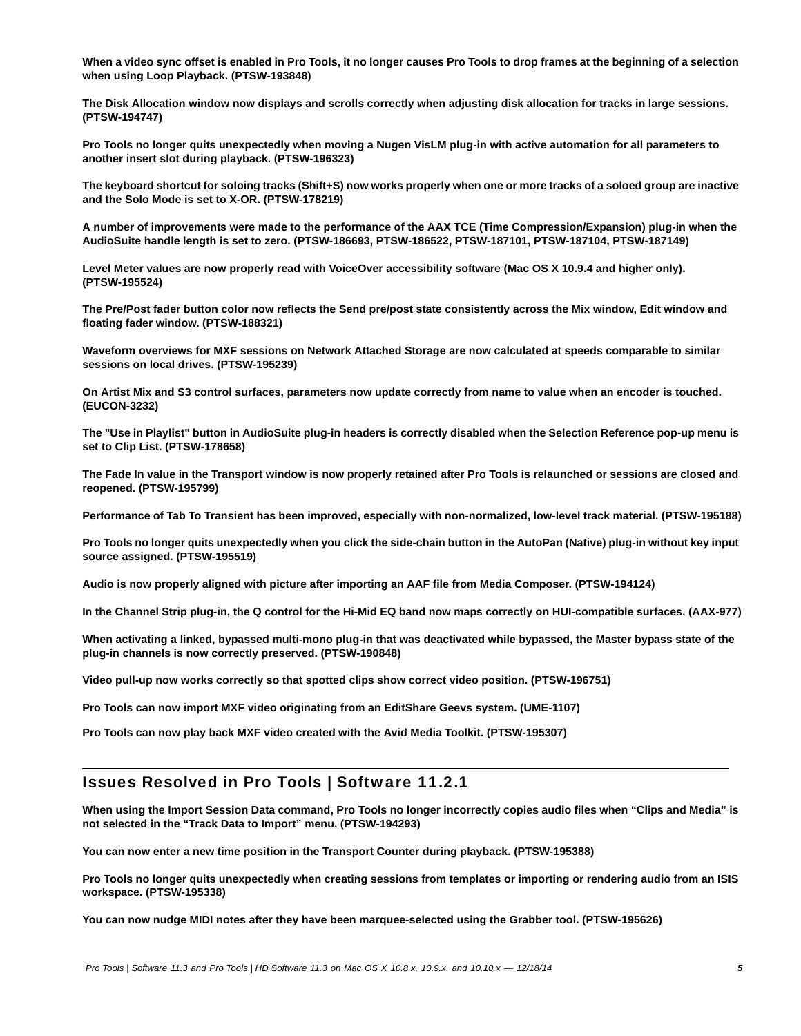**When a video sync offset is enabled in Pro Tools, it no longer causes Pro Tools to drop frames at the beginning of a selection when using Loop Playback. (PTSW-193848)**

**The Disk Allocation window now displays and scrolls correctly when adjusting disk allocation for tracks in large sessions. (PTSW-194747)**

**Pro Tools no longer quits unexpectedly when moving a Nugen VisLM plug-in with active automation for all parameters to another insert slot during playback. (PTSW-196323)**

**The keyboard shortcut for soloing tracks (Shift+S) now works properly when one or more tracks of a soloed group are inactive and the Solo Mode is set to X-OR. (PTSW-178219)**

**A number of improvements were made to the performance of the AAX TCE (Time Compression/Expansion) plug-in when the AudioSuite handle length is set to zero. (PTSW-186693, PTSW-186522, PTSW-187101, PTSW-187104, PTSW-187149)**

**Level Meter values are now properly read with VoiceOver accessibility software (Mac OS X 10.9.4 and higher only). (PTSW-195524)**

**The Pre/Post fader button color now reflects the Send pre/post state consistently across the Mix window, Edit window and floating fader window. (PTSW-188321)**

**Waveform overviews for MXF sessions on Network Attached Storage are now calculated at speeds comparable to similar sessions on local drives. (PTSW-195239)**

**On Artist Mix and S3 control surfaces, parameters now update correctly from name to value when an encoder is touched. (EUCON-3232)**

**The "Use in Playlist" button in AudioSuite plug-in headers is correctly disabled when the Selection Reference pop-up menu is set to Clip List. (PTSW-178658)**

**The Fade In value in the Transport window is now properly retained after Pro Tools is relaunched or sessions are closed and reopened. (PTSW-195799)**

**Performance of Tab To Transient has been improved, especially with non-normalized, low-level track material. (PTSW-195188)**

**Pro Tools no longer quits unexpectedly when you click the side-chain button in the AutoPan (Native) plug-in without key input source assigned. (PTSW-195519)**

**Audio is now properly aligned with picture after importing an AAF file from Media Composer. (PTSW-194124)**

**In the Channel Strip plug-in, the Q control for the Hi-Mid EQ band now maps correctly on HUI-compatible surfaces. (AAX-977)**

**When activating a linked, bypassed multi-mono plug-in that was deactivated while bypassed, the Master bypass state of the plug-in channels is now correctly preserved. (PTSW-190848)**

**Video pull-up now works correctly so that spotted clips show correct video position. (PTSW-196751)**

**Pro Tools can now import MXF video originating from an EditShare Geevs system. (UME-1107)**

**Pro Tools can now play back MXF video created with the Avid Media Toolkit. (PTSW-195307)** 

# Issues Resolved in Pro Tools | Software 11.2.1

**When using the Import Session Data command, Pro Tools no longer incorrectly copies audio files when "Clips and Media" is not selected in the "Track Data to Import" menu. (PTSW-194293)**

**You can now enter a new time position in the Transport Counter during playback. (PTSW-195388)**

**Pro Tools no longer quits unexpectedly when creating sessions from templates or importing or rendering audio from an ISIS workspace. (PTSW-195338)**

**You can now nudge MIDI notes after they have been marquee-selected using the Grabber tool. (PTSW-195626)**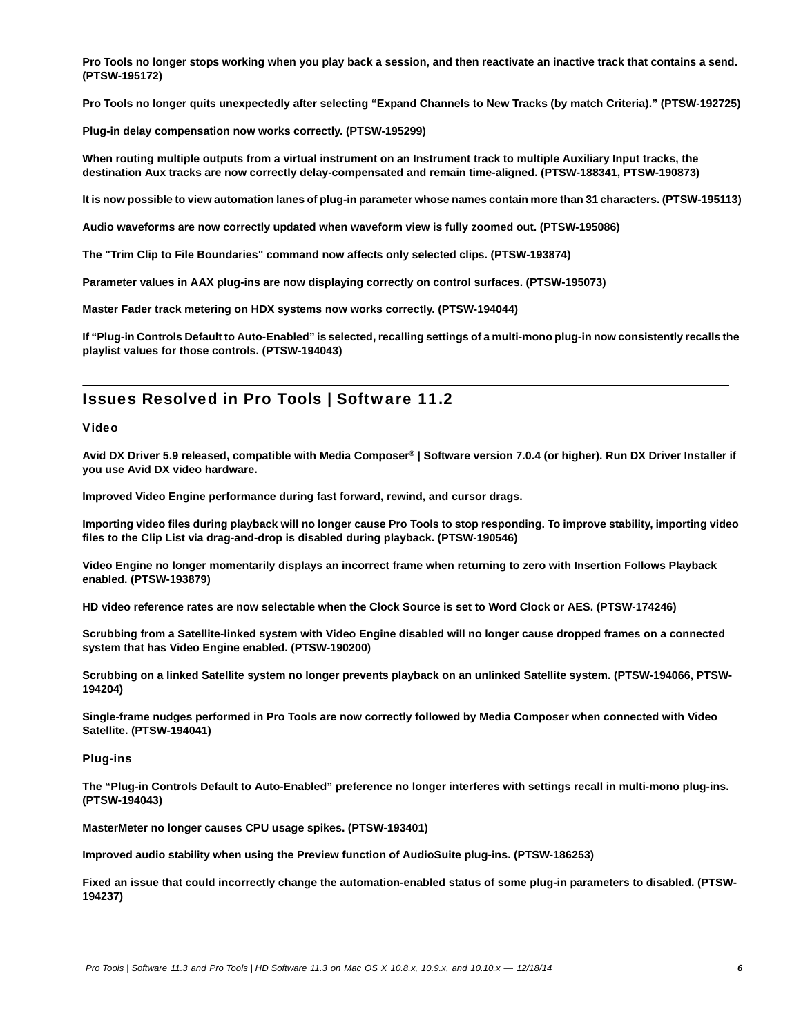**Pro Tools no longer stops working when you play back a session, and then reactivate an inactive track that contains a send. (PTSW-195172)**

**Pro Tools no longer quits unexpectedly after selecting "Expand Channels to New Tracks (by match Criteria)." (PTSW-192725)**

**Plug-in delay compensation now works correctly. (PTSW-195299)**

**When routing multiple outputs from a virtual instrument on an Instrument track to multiple Auxiliary Input tracks, the destination Aux tracks are now correctly delay-compensated and remain time-aligned. (PTSW-188341, PTSW-190873)**

**It is now possible to view automation lanes of plug-in parameter whose names contain more than 31 characters. (PTSW-195113)**

**Audio waveforms are now correctly updated when waveform view is fully zoomed out. (PTSW-195086)**

**The "Trim Clip to File Boundaries" command now affects only selected clips. (PTSW-193874)**

**Parameter values in AAX plug-ins are now displaying correctly on control surfaces. (PTSW-195073)**

**Master Fader track metering on HDX systems now works correctly. (PTSW-194044)**

**If "Plug-in Controls Default to Auto-Enabled" is selected, recalling settings of a multi-mono plug-in now consistently recalls the playlist values for those controls. (PTSW-194043)**

# Issues Resolved in Pro Tools | Software 11.2

#### Video

**Avid DX Driver 5.9 released, compatible with Media Composer***®* **| Software version 7.0.4 (or higher). Run DX Driver Installer if you use Avid DX video hardware.**

**Improved Video Engine performance during fast forward, rewind, and cursor drags.**

**Importing video files during playback will no longer cause Pro Tools to stop responding. To improve stability, importing video files to the Clip List via drag-and-drop is disabled during playback. (PTSW-190546)**

**Video Engine no longer momentarily displays an incorrect frame when returning to zero with Insertion Follows Playback enabled. (PTSW-193879)**

**HD video reference rates are now selectable when the Clock Source is set to Word Clock or AES. (PTSW-174246)**

**Scrubbing from a Satellite-linked system with Video Engine disabled will no longer cause dropped frames on a connected system that has Video Engine enabled. (PTSW-190200)**

**Scrubbing on a linked Satellite system no longer prevents playback on an unlinked Satellite system. (PTSW-194066, PTSW-194204)**

**Single-frame nudges performed in Pro Tools are now correctly followed by Media Composer when connected with Video Satellite. (PTSW-194041)**

#### Plug-ins

**The "Plug-in Controls Default to Auto-Enabled" preference no longer interferes with settings recall in multi-mono plug-ins. (PTSW-194043)**

**MasterMeter no longer causes CPU usage spikes. (PTSW-193401)**

**Improved audio stability when using the Preview function of AudioSuite plug-ins. (PTSW-186253)**

**Fixed an issue that could incorrectly change the automation-enabled status of some plug-in parameters to disabled. (PTSW-194237)**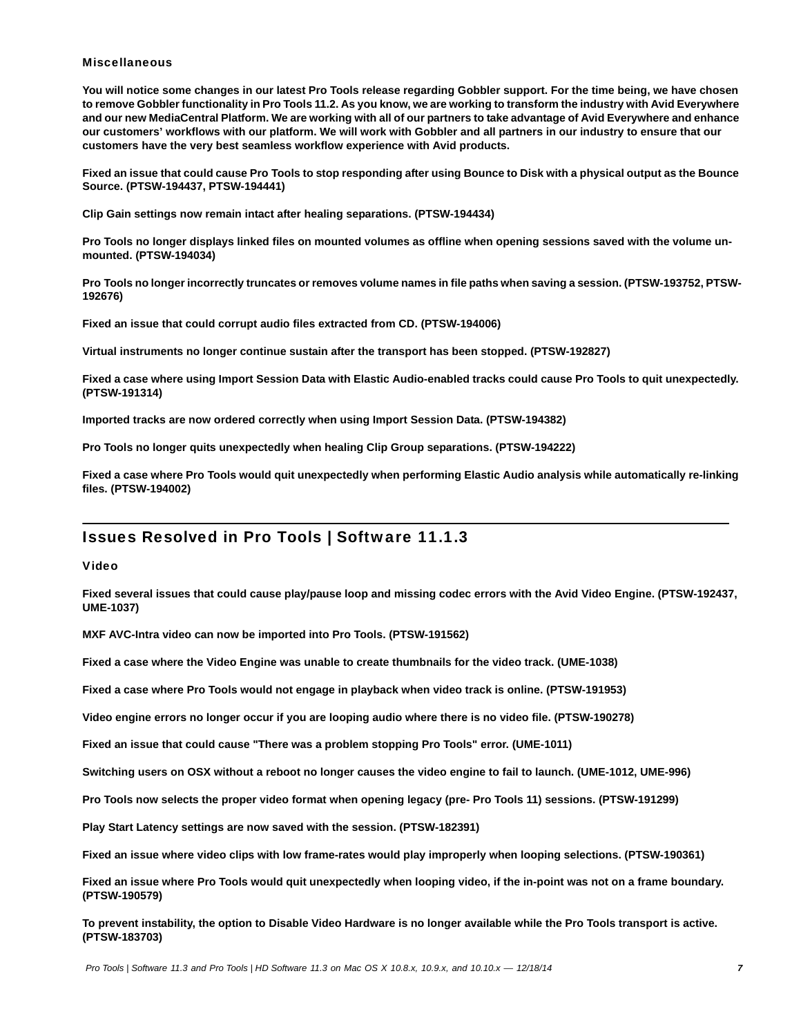#### **Miscellaneous**

**You will notice some changes in our latest Pro Tools release regarding Gobbler support. For the time being, we have chosen to remove Gobbler functionality in Pro Tools 11.2. As you know, we are working to transform the industry with Avid Everywhere and our new MediaCentral Platform. We are working with all of our partners to take advantage of Avid Everywhere and enhance our customers' workflows with our platform. We will work with Gobbler and all partners in our industry to ensure that our customers have the very best seamless workflow experience with Avid products.**

**Fixed an issue that could cause Pro Tools to stop responding after using Bounce to Disk with a physical output as the Bounce Source. (PTSW-194437, PTSW-194441)**

**Clip Gain settings now remain intact after healing separations. (PTSW-194434)**

**Pro Tools no longer displays linked files on mounted volumes as offline when opening sessions saved with the volume unmounted. (PTSW-194034)**

**Pro Tools no longer incorrectly truncates or removes volume names in file paths when saving a session. (PTSW-193752, PTSW-192676)**

**Fixed an issue that could corrupt audio files extracted from CD. (PTSW-194006)**

**Virtual instruments no longer continue sustain after the transport has been stopped. (PTSW-192827)**

**Fixed a case where using Import Session Data with Elastic Audio-enabled tracks could cause Pro Tools to quit unexpectedly. (PTSW-191314)**

**Imported tracks are now ordered correctly when using Import Session Data. (PTSW-194382)**

**Pro Tools no longer quits unexpectedly when healing Clip Group separations. (PTSW-194222)**

**Fixed a case where Pro Tools would quit unexpectedly when performing Elastic Audio analysis while automatically re-linking files. (PTSW-194002)**

# Issues Resolved in Pro Tools | Software 11.1.3

Video

**Fixed several issues that could cause play/pause loop and missing codec errors with the Avid Video Engine. (PTSW-192437, UME-1037)**

**MXF AVC-Intra video can now be imported into Pro Tools. (PTSW-191562)**

**Fixed a case where the Video Engine was unable to create thumbnails for the video track. (UME-1038)**

**Fixed a case where Pro Tools would not engage in playback when video track is online. (PTSW-191953)**

**Video engine errors no longer occur if you are looping audio where there is no video file. (PTSW-190278)**

**Fixed an issue that could cause "There was a problem stopping Pro Tools" error. (UME-1011)**

**Switching users on OSX without a reboot no longer causes the video engine to fail to launch. (UME-1012, UME-996)**

**Pro Tools now selects the proper video format when opening legacy (pre- Pro Tools 11) sessions. (PTSW-191299)**

**Play Start Latency settings are now saved with the session. (PTSW-182391)**

**Fixed an issue where video clips with low frame-rates would play improperly when looping selections. (PTSW-190361)**

**Fixed an issue where Pro Tools would quit unexpectedly when looping video, if the in-point was not on a frame boundary. (PTSW-190579)**

**To prevent instability, the option to Disable Video Hardware is no longer available while the Pro Tools transport is active. (PTSW-183703)**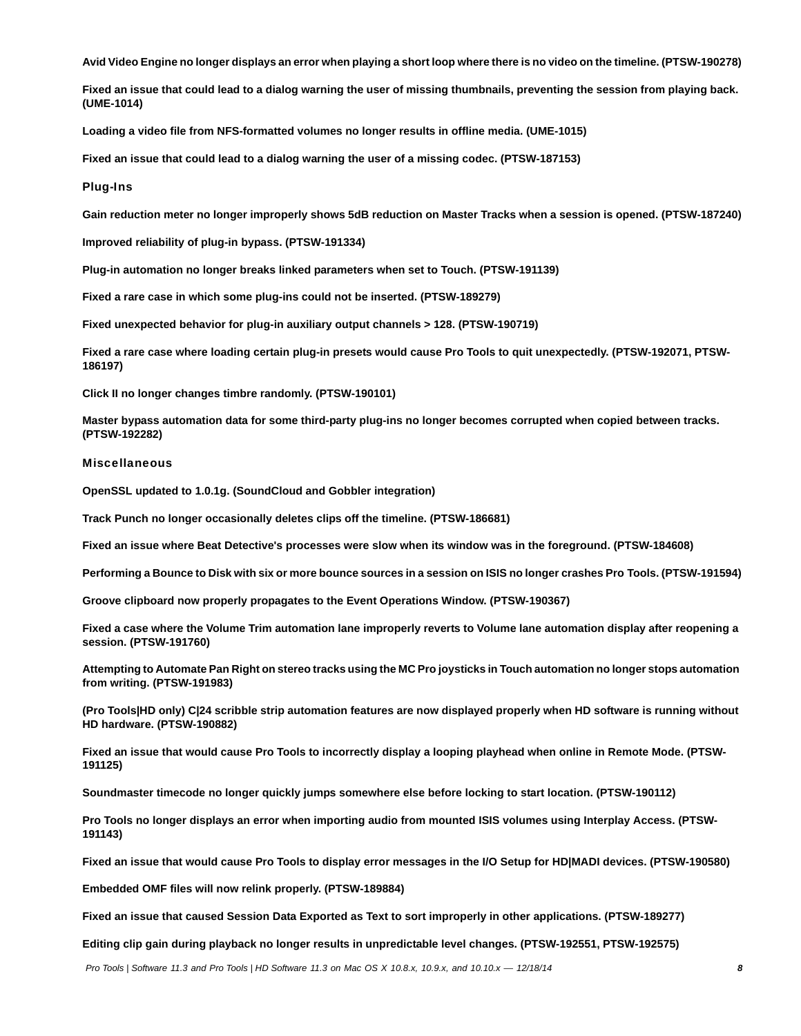**Avid Video Engine no longer displays an error when playing a short loop where there is no video on the timeline. (PTSW-190278)**

**Fixed an issue that could lead to a dialog warning the user of missing thumbnails, preventing the session from playing back. (UME-1014)**

**Loading a video file from NFS-formatted volumes no longer results in offline media. (UME-1015)**

**Fixed an issue that could lead to a dialog warning the user of a missing codec. (PTSW-187153)**

### Plug-Ins

**Gain reduction meter no longer improperly shows 5dB reduction on Master Tracks when a session is opened. (PTSW-187240)**

**Improved reliability of plug-in bypass. (PTSW-191334)**

**Plug-in automation no longer breaks linked parameters when set to Touch. (PTSW-191139)**

**Fixed a rare case in which some plug-ins could not be inserted. (PTSW-189279)**

**Fixed unexpected behavior for plug-in auxiliary output channels > 128. (PTSW-190719)**

**Fixed a rare case where loading certain plug-in presets would cause Pro Tools to quit unexpectedly. (PTSW-192071, PTSW-186197)**

**Click II no longer changes timbre randomly. (PTSW-190101)**

**Master bypass automation data for some third-party plug-ins no longer becomes corrupted when copied between tracks. (PTSW-192282)**

### **Miscellaneous**

**OpenSSL updated to 1.0.1g. (SoundCloud and Gobbler integration)**

**Track Punch no longer occasionally deletes clips off the timeline. (PTSW-186681)**

**Fixed an issue where Beat Detective's processes were slow when its window was in the foreground. (PTSW-184608)**

**Performing a Bounce to Disk with six or more bounce sources in a session on ISIS no longer crashes Pro Tools. (PTSW-191594)**

**Groove clipboard now properly propagates to the Event Operations Window. (PTSW-190367)**

**Fixed a case where the Volume Trim automation lane improperly reverts to Volume lane automation display after reopening a session. (PTSW-191760)**

**Attempting to Automate Pan Right on stereo tracks using the MC Pro joysticks in Touch automation no longer stops automation from writing. (PTSW-191983)**

**(Pro Tools|HD only) C|24 scribble strip automation features are now displayed properly when HD software is running without HD hardware. (PTSW-190882)**

**Fixed an issue that would cause Pro Tools to incorrectly display a looping playhead when online in Remote Mode. (PTSW-191125)**

**Soundmaster timecode no longer quickly jumps somewhere else before locking to start location. (PTSW-190112)**

**Pro Tools no longer displays an error when importing audio from mounted ISIS volumes using Interplay Access. (PTSW-191143)**

**Fixed an issue that would cause Pro Tools to display error messages in the I/O Setup for HD|MADI devices. (PTSW-190580)**

**Embedded OMF files will now relink properly. (PTSW-189884)**

**Fixed an issue that caused Session Data Exported as Text to sort improperly in other applications. (PTSW-189277)**

**Editing clip gain during playback no longer results in unpredictable level changes. (PTSW-192551, PTSW-192575)**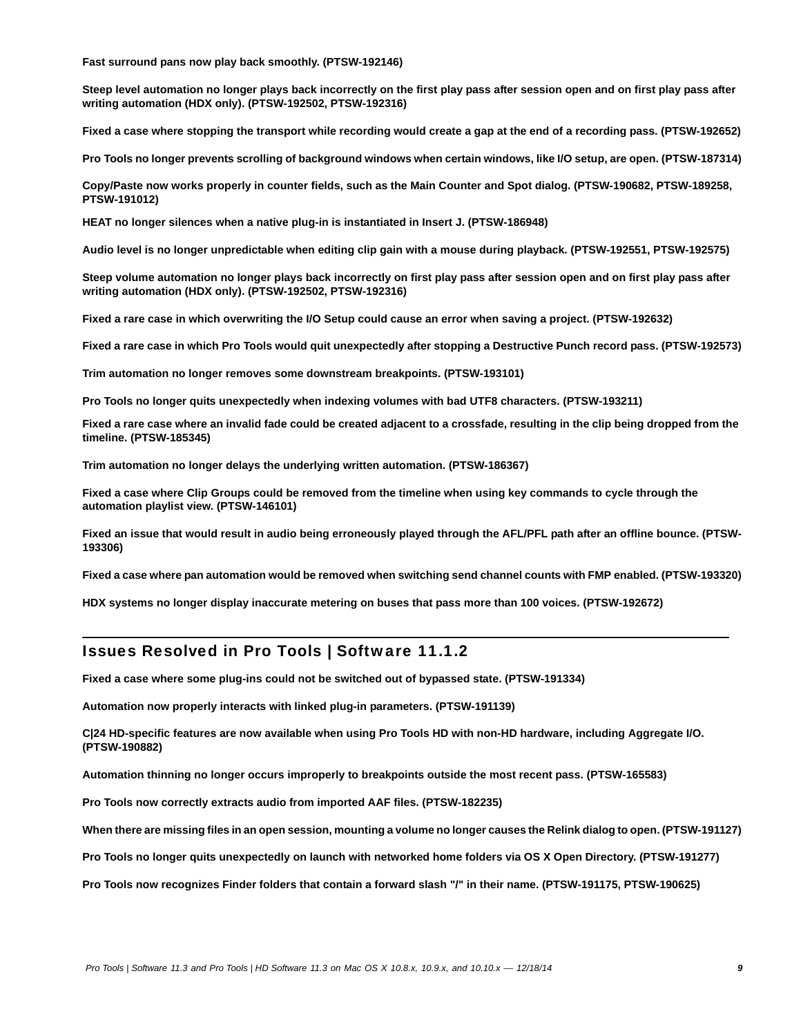**Fast surround pans now play back smoothly. (PTSW-192146)**

**Steep level automation no longer plays back incorrectly on the first play pass after session open and on first play pass after writing automation (HDX only). (PTSW-192502, PTSW-192316)**

**Fixed a case where stopping the transport while recording would create a gap at the end of a recording pass. (PTSW-192652)**

**Pro Tools no longer prevents scrolling of background windows when certain windows, like I/O setup, are open. (PTSW-187314)**

**Copy/Paste now works properly in counter fields, such as the Main Counter and Spot dialog. (PTSW-190682, PTSW-189258, PTSW-191012)**

**HEAT no longer silences when a native plug-in is instantiated in Insert J. (PTSW-186948)**

**Audio level is no longer unpredictable when editing clip gain with a mouse during playback. (PTSW-192551, PTSW-192575)**

**Steep volume automation no longer plays back incorrectly on first play pass after session open and on first play pass after writing automation (HDX only). (PTSW-192502, PTSW-192316)**

**Fixed a rare case in which overwriting the I/O Setup could cause an error when saving a project. (PTSW-192632)**

**Fixed a rare case in which Pro Tools would quit unexpectedly after stopping a Destructive Punch record pass. (PTSW-192573)**

**Trim automation no longer removes some downstream breakpoints. (PTSW-193101)**

**Pro Tools no longer quits unexpectedly when indexing volumes with bad UTF8 characters. (PTSW-193211)**

**Fixed a rare case where an invalid fade could be created adjacent to a crossfade, resulting in the clip being dropped from the timeline. (PTSW-185345)**

**Trim automation no longer delays the underlying written automation. (PTSW-186367)**

**Fixed a case where Clip Groups could be removed from the timeline when using key commands to cycle through the automation playlist view. (PTSW-146101)**

**Fixed an issue that would result in audio being erroneously played through the AFL/PFL path after an offline bounce. (PTSW-193306)**

**Fixed a case where pan automation would be removed when switching send channel counts with FMP enabled. (PTSW-193320)**

**HDX systems no longer display inaccurate metering on buses that pass more than 100 voices. (PTSW-192672)**

# Issues Resolved in Pro Tools | Software 11.1.2

**Fixed a case where some plug-ins could not be switched out of bypassed state. (PTSW-191334)**

**Automation now properly interacts with linked plug-in parameters. (PTSW-191139)**

**C|24 HD-specific features are now available when using Pro Tools HD with non-HD hardware, including Aggregate I/O. (PTSW-190882)**

**Automation thinning no longer occurs improperly to breakpoints outside the most recent pass. (PTSW-165583)**

**Pro Tools now correctly extracts audio from imported AAF files. (PTSW-182235)**

**When there are missing files in an open session, mounting a volume no longer causes the Relink dialog to open. (PTSW-191127)**

**Pro Tools no longer quits unexpectedly on launch with networked home folders via OS X Open Directory. (PTSW-191277)** 

**Pro Tools now recognizes Finder folders that contain a forward slash "/" in their name. (PTSW-191175, PTSW-190625)**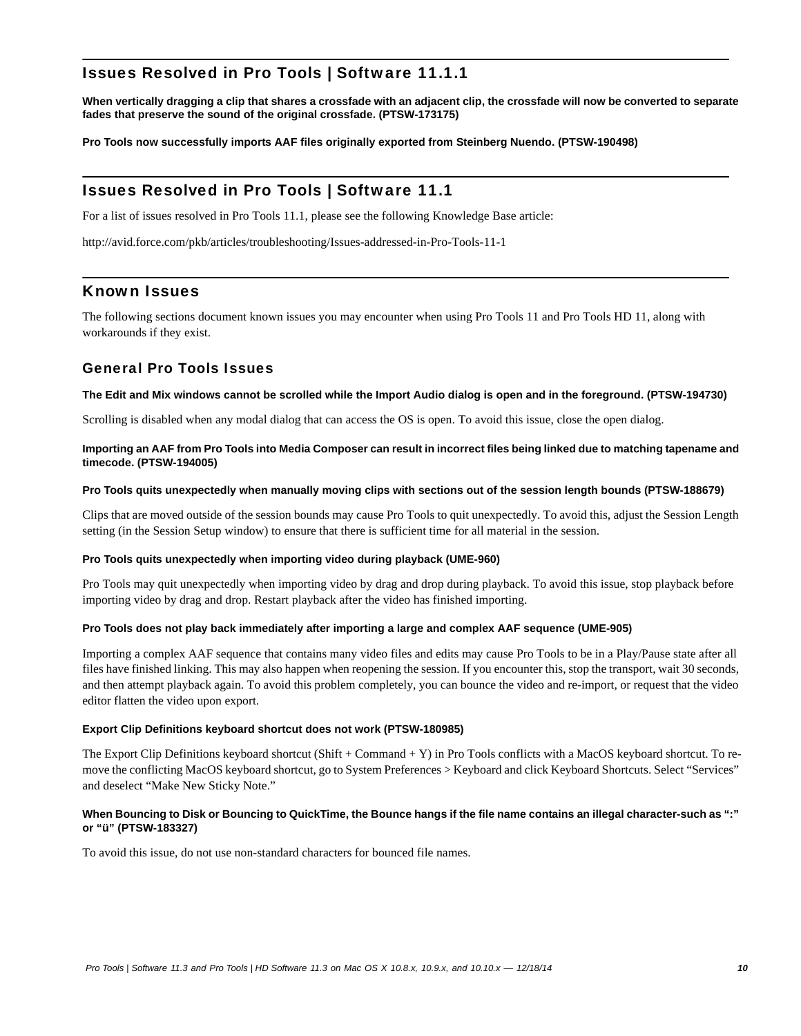# Issues Resolved in Pro Tools | Software 11.1.1

**When vertically dragging a clip that shares a crossfade with an adjacent clip, the crossfade will now be converted to separate fades that preserve the sound of the original crossfade. (PTSW-173175)**

**Pro Tools now successfully imports AAF files originally exported from Steinberg Nuendo. (PTSW-190498)**

# Issues Resolved in Pro Tools | Software 11.1

For a list of issues resolved in Pro Tools 11.1, please see the following Knowledge Base article:

<http://avid.force.com/pkb/articles/troubleshooting/Issues-addressed-in-Pro-Tools-11-1>

# Known Issues

The following sections document known issues you may encounter when using Pro Tools 11 and Pro Tools HD 11, along with workarounds if they exist.

# General Pro Tools Issues

### **The Edit and Mix windows cannot be scrolled while the Import Audio dialog is open and in the foreground. (PTSW-194730)**

Scrolling is disabled when any modal dialog that can access the OS is open. To avoid this issue, close the open dialog.

### **Importing an AAF from Pro Tools into Media Composer can result in incorrect files being linked due to matching tapename and timecode. (PTSW-194005)**

### **Pro Tools quits unexpectedly when manually moving clips with sections out of the session length bounds (PTSW-188679)**

Clips that are moved outside of the session bounds may cause Pro Tools to quit unexpectedly. To avoid this, adjust the Session Length setting (in the Session Setup window) to ensure that there is sufficient time for all material in the session.

### **Pro Tools quits unexpectedly when importing video during playback (UME-960)**

Pro Tools may quit unexpectedly when importing video by drag and drop during playback. To avoid this issue, stop playback before importing video by drag and drop. Restart playback after the video has finished importing.

### **Pro Tools does not play back immediately after importing a large and complex AAF sequence (UME-905)**

Importing a complex AAF sequence that contains many video files and edits may cause Pro Tools to be in a Play/Pause state after all files have finished linking. This may also happen when reopening the session. If you encounter this, stop the transport, wait 30 seconds, and then attempt playback again. To avoid this problem completely, you can bounce the video and re-import, or request that the video editor flatten the video upon export.

### **Export Clip Definitions keyboard shortcut does not work (PTSW-180985)**

The Export Clip Definitions keyboard shortcut (Shift + Command + Y) in Pro Tools conflicts with a MacOS keyboard shortcut. To remove the conflicting MacOS keyboard shortcut, go to System Preferences > Keyboard and click Keyboard Shortcuts. Select "Services" and deselect "Make New Sticky Note."

### **When Bouncing to Disk or Bouncing to QuickTime, the Bounce hangs if the file name contains an illegal character-such as ":" or "ü" (PTSW-183327)**

To avoid this issue, do not use non-standard characters for bounced file names.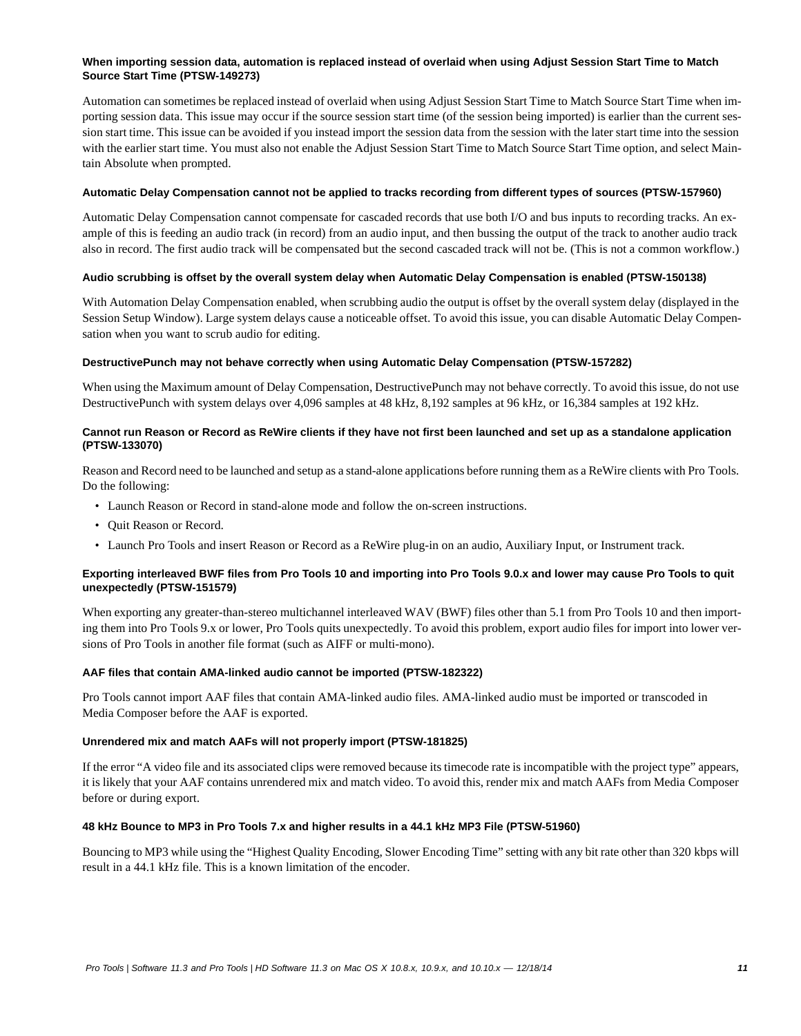### **When importing session data, automation is replaced instead of overlaid when using Adjust Session Start Time to Match Source Start Time (PTSW-149273)**

Automation can sometimes be replaced instead of overlaid when using Adjust Session Start Time to Match Source Start Time when importing session data. This issue may occur if the source session start time (of the session being imported) is earlier than the current session start time. This issue can be avoided if you instead import the session data from the session with the later start time into the session with the earlier start time. You must also not enable the Adjust Session Start Time to Match Source Start Time option, and select Maintain Absolute when prompted.

### **Automatic Delay Compensation cannot not be applied to tracks recording from different types of sources (PTSW-157960)**

Automatic Delay Compensation cannot compensate for cascaded records that use both I/O and bus inputs to recording tracks. An example of this is feeding an audio track (in record) from an audio input, and then bussing the output of the track to another audio track also in record. The first audio track will be compensated but the second cascaded track will not be. (This is not a common workflow.)

### **Audio scrubbing is offset by the overall system delay when Automatic Delay Compensation is enabled (PTSW-150138)**

With Automation Delay Compensation enabled, when scrubbing audio the output is offset by the overall system delay (displayed in the Session Setup Window). Large system delays cause a noticeable offset. To avoid this issue, you can disable Automatic Delay Compensation when you want to scrub audio for editing.

### **DestructivePunch may not behave correctly when using Automatic Delay Compensation (PTSW-157282)**

When using the Maximum amount of Delay Compensation, DestructivePunch may not behave correctly. To avoid this issue, do not use DestructivePunch with system delays over 4,096 samples at 48 kHz, 8,192 samples at 96 kHz, or 16,384 samples at 192 kHz.

### **Cannot run Reason or Record as ReWire clients if they have not first been launched and set up as a standalone application (PTSW-133070)**

Reason and Record need to be launched and setup as a stand-alone applications before running them as a ReWire clients with Pro Tools. Do the following:

- Launch Reason or Record in stand-alone mode and follow the on-screen instructions.
- Quit Reason or Record.
- Launch Pro Tools and insert Reason or Record as a ReWire plug-in on an audio, Auxiliary Input, or Instrument track.

### **Exporting interleaved BWF files from Pro Tools 10 and importing into Pro Tools 9.0.x and lower may cause Pro Tools to quit unexpectedly (PTSW-151579)**

When exporting any greater-than-stereo multichannel interleaved WAV (BWF) files other than 5.1 from Pro Tools 10 and then importing them into Pro Tools 9.x or lower, Pro Tools quits unexpectedly. To avoid this problem, export audio files for import into lower versions of Pro Tools in another file format (such as AIFF or multi-mono).

### **AAF files that contain AMA-linked audio cannot be imported (PTSW-182322)**

Pro Tools cannot import AAF files that contain AMA-linked audio files. AMA-linked audio must be imported or transcoded in Media Composer before the AAF is exported.

### **Unrendered mix and match AAFs will not properly import (PTSW-181825)**

If the error "A video file and its associated clips were removed because its timecode rate is incompatible with the project type" appears, it is likely that your AAF contains unrendered mix and match video. To avoid this, render mix and match AAFs from Media Composer before or during export.

### **48 kHz Bounce to MP3 in Pro Tools 7.x and higher results in a 44.1 kHz MP3 File (PTSW-51960)**

Bouncing to MP3 while using the "Highest Quality Encoding, Slower Encoding Time" setting with any bit rate other than 320 kbps will result in a 44.1 kHz file. This is a known limitation of the encoder.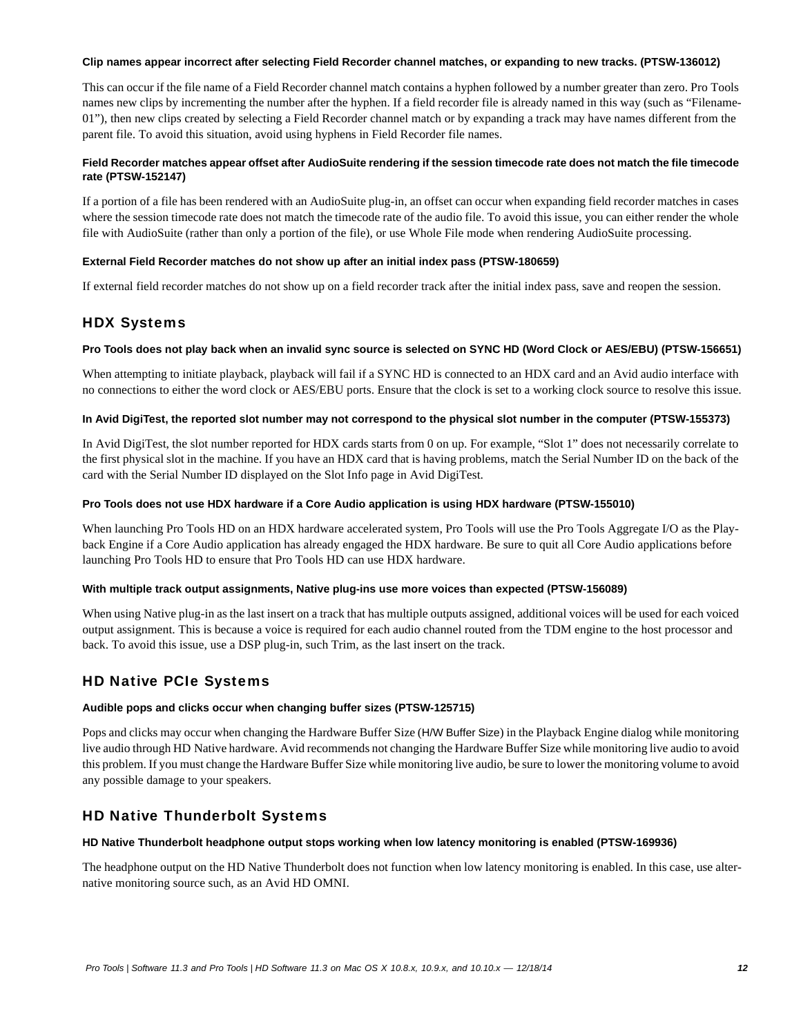### **Clip names appear incorrect after selecting Field Recorder channel matches, or expanding to new tracks. (PTSW-136012)**

This can occur if the file name of a Field Recorder channel match contains a hyphen followed by a number greater than zero. Pro Tools names new clips by incrementing the number after the hyphen. If a field recorder file is already named in this way (such as "Filename-01"), then new clips created by selecting a Field Recorder channel match or by expanding a track may have names different from the parent file. To avoid this situation, avoid using hyphens in Field Recorder file names.

### **Field Recorder matches appear offset after AudioSuite rendering if the session timecode rate does not match the file timecode rate (PTSW-152147)**

If a portion of a file has been rendered with an AudioSuite plug-in, an offset can occur when expanding field recorder matches in cases where the session timecode rate does not match the timecode rate of the audio file. To avoid this issue, you can either render the whole file with AudioSuite (rather than only a portion of the file), or use Whole File mode when rendering AudioSuite processing.

### **External Field Recorder matches do not show up after an initial index pass (PTSW-180659)**

If external field recorder matches do not show up on a field recorder track after the initial index pass, save and reopen the session.

# HDX Systems

### **Pro Tools does not play back when an invalid sync source is selected on SYNC HD (Word Clock or AES/EBU) (PTSW-156651)**

When attempting to initiate playback, playback will fail if a SYNC HD is connected to an HDX card and an Avid audio interface with no connections to either the word clock or AES/EBU ports. Ensure that the clock is set to a working clock source to resolve this issue.

### **In Avid DigiTest, the reported slot number may not correspond to the physical slot number in the computer (PTSW-155373)**

In Avid DigiTest, the slot number reported for HDX cards starts from 0 on up. For example, "Slot 1" does not necessarily correlate to the first physical slot in the machine. If you have an HDX card that is having problems, match the Serial Number ID on the back of the card with the Serial Number ID displayed on the Slot Info page in Avid DigiTest.

### **Pro Tools does not use HDX hardware if a Core Audio application is using HDX hardware (PTSW-155010)**

When launching Pro Tools HD on an HDX hardware accelerated system, Pro Tools will use the Pro Tools Aggregate I/O as the Playback Engine if a Core Audio application has already engaged the HDX hardware. Be sure to quit all Core Audio applications before launching Pro Tools HD to ensure that Pro Tools HD can use HDX hardware.

### **With multiple track output assignments, Native plug-ins use more voices than expected (PTSW-156089)**

When using Native plug-in as the last insert on a track that has multiple outputs assigned, additional voices will be used for each voiced output assignment. This is because a voice is required for each audio channel routed from the TDM engine to the host processor and back. To avoid this issue, use a DSP plug-in, such Trim, as the last insert on the track.

# HD Native PCIe Systems

### **Audible pops and clicks occur when changing buffer sizes (PTSW-125715)**

Pops and clicks may occur when changing the Hardware Buffer Size (H/W Buffer Size) in the Playback Engine dialog while monitoring live audio through HD Native hardware. Avid recommends not changing the Hardware Buffer Size while monitoring live audio to avoid this problem. If you must change the Hardware Buffer Size while monitoring live audio, be sure to lower the monitoring volume to avoid any possible damage to your speakers.

# HD Native Thunderbolt Systems

### **HD Native Thunderbolt headphone output stops working when low latency monitoring is enabled (PTSW-169936)**

The headphone output on the HD Native Thunderbolt does not function when low latency monitoring is enabled. In this case, use alternative monitoring source such, as an Avid HD OMNI.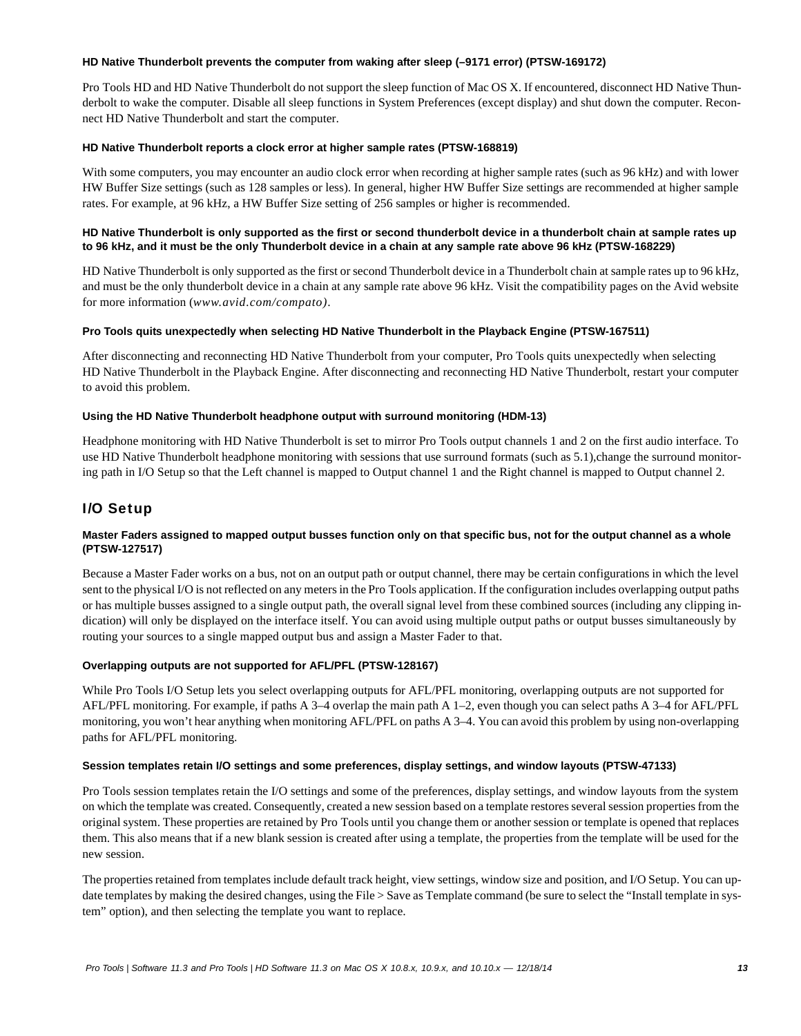### **HD Native Thunderbolt prevents the computer from waking after sleep (–9171 error) (PTSW-169172)**

Pro Tools HD and HD Native Thunderbolt do not support the sleep function of Mac OS X. If encountered, disconnect HD Native Thunderbolt to wake the computer. Disable all sleep functions in System Preferences (except display) and shut down the computer. Reconnect HD Native Thunderbolt and start the computer.

### **HD Native Thunderbolt reports a clock error at higher sample rates (PTSW-168819)**

With some computers, you may encounter an audio clock error when recording at higher sample rates (such as 96 kHz) and with lower HW Buffer Size settings (such as 128 samples or less). In general, higher HW Buffer Size settings are recommended at higher sample rates. For example, at 96 kHz, a HW Buffer Size setting of 256 samples or higher is recommended.

### **HD Native Thunderbolt is only supported as the first or second thunderbolt device in a thunderbolt chain at sample rates up to 96 kHz, and it must be the only Thunderbolt device in a chain at any sample rate above 96 kHz (PTSW-168229)**

HD Native Thunderbolt is only supported as the first or second Thunderbolt device in a Thunderbolt chain at sample rates up to 96 kHz, and must be the only thunderbolt device in a chain at any sample rate above 96 kHz. Visit the compatibility pages on the Avid website for more information (*www.avid.com/compato)*.

### **Pro Tools quits unexpectedly when selecting HD Native Thunderbolt in the Playback Engine (PTSW-167511)**

After disconnecting and reconnecting HD Native Thunderbolt from your computer, Pro Tools quits unexpectedly when selecting HD Native Thunderbolt in the Playback Engine. After disconnecting and reconnecting HD Native Thunderbolt, restart your computer to avoid this problem.

### **Using the HD Native Thunderbolt headphone output with surround monitoring (HDM-13)**

Headphone monitoring with HD Native Thunderbolt is set to mirror Pro Tools output channels 1 and 2 on the first audio interface. To use HD Native Thunderbolt headphone monitoring with sessions that use surround formats (such as 5.1), change the surround monitoring path in I/O Setup so that the Left channel is mapped to Output channel 1 and the Right channel is mapped to Output channel 2.

# I/O Setup

### **Master Faders assigned to mapped output busses function only on that specific bus, not for the output channel as a whole (PTSW-127517)**

Because a Master Fader works on a bus, not on an output path or output channel, there may be certain configurations in which the level sent to the physical I/O is not reflected on any meters in the Pro Tools application. If the configuration includes overlapping output paths or has multiple busses assigned to a single output path, the overall signal level from these combined sources (including any clipping indication) will only be displayed on the interface itself. You can avoid using multiple output paths or output busses simultaneously by routing your sources to a single mapped output bus and assign a Master Fader to that.

### **Overlapping outputs are not supported for AFL/PFL (PTSW-128167)**

While Pro Tools I/O Setup lets you select overlapping outputs for AFL/PFL monitoring, overlapping outputs are not supported for AFL/PFL monitoring. For example, if paths A 3–4 overlap the main path A 1–2, even though you can select paths A 3–4 for AFL/PFL monitoring, you won't hear anything when monitoring AFL/PFL on paths A 3–4. You can avoid this problem by using non-overlapping paths for AFL/PFL monitoring.

### **Session templates retain I/O settings and some preferences, display settings, and window layouts (PTSW-47133)**

Pro Tools session templates retain the I/O settings and some of the preferences, display settings, and window layouts from the system on which the template was created. Consequently, created a new session based on a template restores several session properties from the original system. These properties are retained by Pro Tools until you change them or another session or template is opened that replaces them. This also means that if a new blank session is created after using a template, the properties from the template will be used for the new session.

The properties retained from templates include default track height, view settings, window size and position, and I/O Setup. You can update templates by making the desired changes, using the File > Save as Template command (be sure to select the "Install template in system" option), and then selecting the template you want to replace.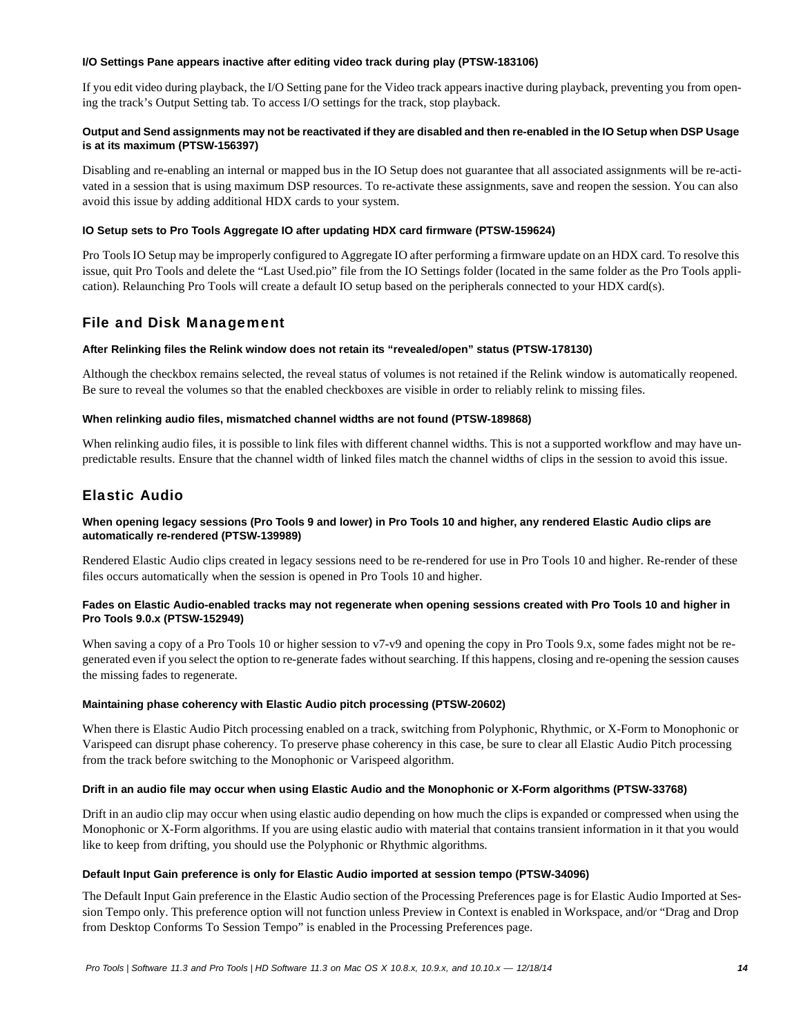### **I/O Settings Pane appears inactive after editing video track during play (PTSW-183106)**

If you edit video during playback, the I/O Setting pane for the Video track appears inactive during playback, preventing you from opening the track's Output Setting tab. To access I/O settings for the track, stop playback.

### **Output and Send assignments may not be reactivated if they are disabled and then re-enabled in the IO Setup when DSP Usage is at its maximum (PTSW-156397)**

Disabling and re-enabling an internal or mapped bus in the IO Setup does not guarantee that all associated assignments will be re-activated in a session that is using maximum DSP resources. To re-activate these assignments, save and reopen the session. You can also avoid this issue by adding additional HDX cards to your system.

### **IO Setup sets to Pro Tools Aggregate IO after updating HDX card firmware (PTSW-159624)**

Pro Tools IO Setup may be improperly configured to Aggregate IO after performing a firmware update on an HDX card. To resolve this issue, quit Pro Tools and delete the "Last Used.pio" file from the IO Settings folder (located in the same folder as the Pro Tools application). Relaunching Pro Tools will create a default IO setup based on the peripherals connected to your HDX card(s).

# File and Disk Management

### **After Relinking files the Relink window does not retain its "revealed/open" status (PTSW-178130)**

Although the checkbox remains selected, the reveal status of volumes is not retained if the Relink window is automatically reopened. Be sure to reveal the volumes so that the enabled checkboxes are visible in order to reliably relink to missing files.

### **When relinking audio files, mismatched channel widths are not found (PTSW-189868)**

When relinking audio files, it is possible to link files with different channel widths. This is not a supported workflow and may have unpredictable results. Ensure that the channel width of linked files match the channel widths of clips in the session to avoid this issue.

# Elastic Audio

### **When opening legacy sessions (Pro Tools 9 and lower) in Pro Tools 10 and higher, any rendered Elastic Audio clips are automatically re-rendered (PTSW-139989)**

Rendered Elastic Audio clips created in legacy sessions need to be re-rendered for use in Pro Tools 10 and higher. Re-render of these files occurs automatically when the session is opened in Pro Tools 10 and higher.

### **Fades on Elastic Audio-enabled tracks may not regenerate when opening sessions created with Pro Tools 10 and higher in Pro Tools 9.0.x (PTSW-152949)**

When saving a copy of a Pro Tools 10 or higher session to v7-v9 and opening the copy in Pro Tools 9.x, some fades might not be regenerated even if you select the option to re-generate fades without searching. If this happens, closing and re-opening the session causes the missing fades to regenerate.

### **Maintaining phase coherency with Elastic Audio pitch processing (PTSW-20602)**

When there is Elastic Audio Pitch processing enabled on a track, switching from Polyphonic, Rhythmic, or X-Form to Monophonic or Varispeed can disrupt phase coherency. To preserve phase coherency in this case, be sure to clear all Elastic Audio Pitch processing from the track before switching to the Monophonic or Varispeed algorithm.

### **Drift in an audio file may occur when using Elastic Audio and the Monophonic or X-Form algorithms (PTSW-33768)**

Drift in an audio clip may occur when using elastic audio depending on how much the clips is expanded or compressed when using the Monophonic or X-Form algorithms. If you are using elastic audio with material that contains transient information in it that you would like to keep from drifting, you should use the Polyphonic or Rhythmic algorithms.

### **Default Input Gain preference is only for Elastic Audio imported at session tempo (PTSW-34096)**

The Default Input Gain preference in the Elastic Audio section of the Processing Preferences page is for Elastic Audio Imported at Session Tempo only. This preference option will not function unless Preview in Context is enabled in Workspace, and/or "Drag and Drop from Desktop Conforms To Session Tempo" is enabled in the Processing Preferences page.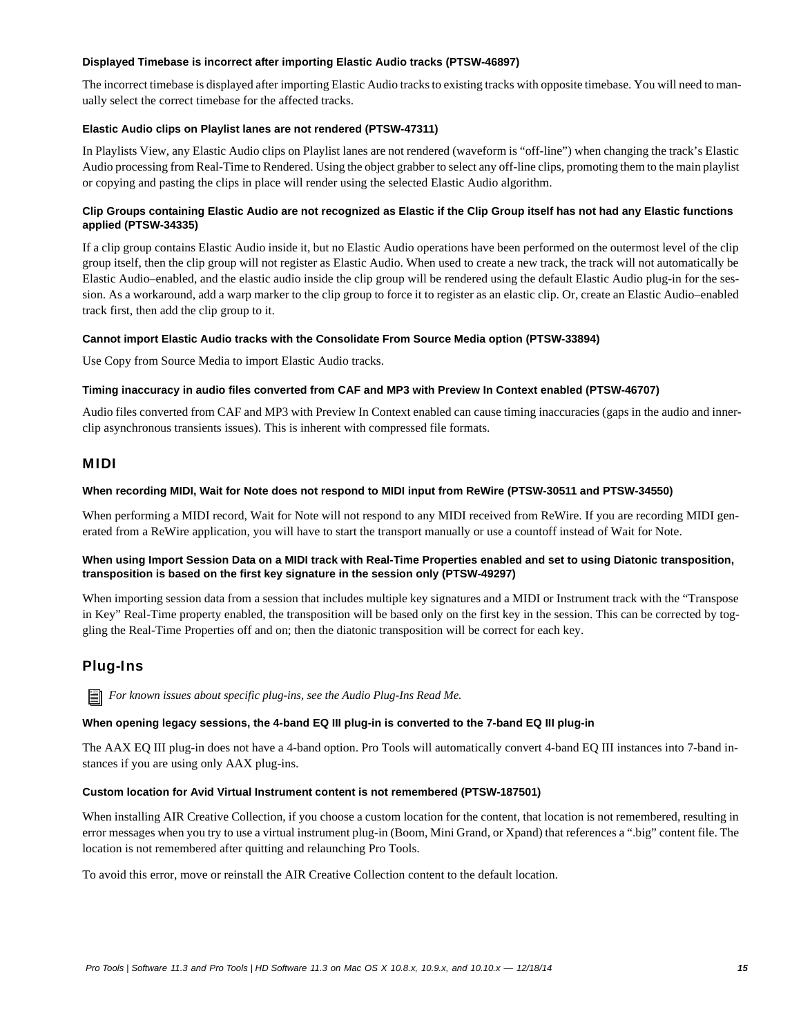### **Displayed Timebase is incorrect after importing Elastic Audio tracks (PTSW-46897)**

The incorrect timebase is displayed after importing Elastic Audio tracks to existing tracks with opposite timebase. You will need to manually select the correct timebase for the affected tracks.

### **Elastic Audio clips on Playlist lanes are not rendered (PTSW-47311)**

In Playlists View, any Elastic Audio clips on Playlist lanes are not rendered (waveform is "off-line") when changing the track's Elastic Audio processing from Real-Time to Rendered. Using the object grabber to select any off-line clips, promoting them to the main playlist or copying and pasting the clips in place will render using the selected Elastic Audio algorithm.

### **Clip Groups containing Elastic Audio are not recognized as Elastic if the Clip Group itself has not had any Elastic functions applied (PTSW-34335)**

If a clip group contains Elastic Audio inside it, but no Elastic Audio operations have been performed on the outermost level of the clip group itself, then the clip group will not register as Elastic Audio. When used to create a new track, the track will not automatically be Elastic Audio–enabled, and the elastic audio inside the clip group will be rendered using the default Elastic Audio plug-in for the session. As a workaround, add a warp marker to the clip group to force it to register as an elastic clip. Or, create an Elastic Audio–enabled track first, then add the clip group to it.

### **Cannot import Elastic Audio tracks with the Consolidate From Source Media option (PTSW-33894)**

Use Copy from Source Media to import Elastic Audio tracks.

### **Timing inaccuracy in audio files converted from CAF and MP3 with Preview In Context enabled (PTSW-46707)**

Audio files converted from CAF and MP3 with Preview In Context enabled can cause timing inaccuracies (gaps in the audio and innerclip asynchronous transients issues). This is inherent with compressed file formats.

### MIDI

### **When recording MIDI, Wait for Note does not respond to MIDI input from ReWire (PTSW-30511 and PTSW-34550)**

When performing a MIDI record, Wait for Note will not respond to any MIDI received from ReWire. If you are recording MIDI generated from a ReWire application, you will have to start the transport manually or use a countoff instead of Wait for Note.

### **When using Import Session Data on a MIDI track with Real-Time Properties enabled and set to using Diatonic transposition, transposition is based on the first key signature in the session only (PTSW-49297)**

When importing session data from a session that includes multiple key signatures and a MIDI or Instrument track with the "Transpose in Key" Real-Time property enabled, the transposition will be based only on the first key in the session. This can be corrected by toggling the Real-Time Properties off and on; then the diatonic transposition will be correct for each key.

# Plug-Ins

*For known issues about specific plug-ins, see the Audio Plug-Ins Read Me.*

### **When opening legacy sessions, the 4-band EQ III plug-in is converted to the 7-band EQ III plug-in**

The AAX EQ III plug-in does not have a 4-band option. Pro Tools will automatically convert 4-band EQ III instances into 7-band instances if you are using only AAX plug-ins.

### **Custom location for Avid Virtual Instrument content is not remembered (PTSW-187501)**

When installing AIR Creative Collection, if you choose a custom location for the content, that location is not remembered, resulting in error messages when you try to use a virtual instrument plug-in (Boom, Mini Grand, or Xpand) that references a ".big" content file. The location is not remembered after quitting and relaunching Pro Tools.

To avoid this error, move or reinstall the AIR Creative Collection content to the default location.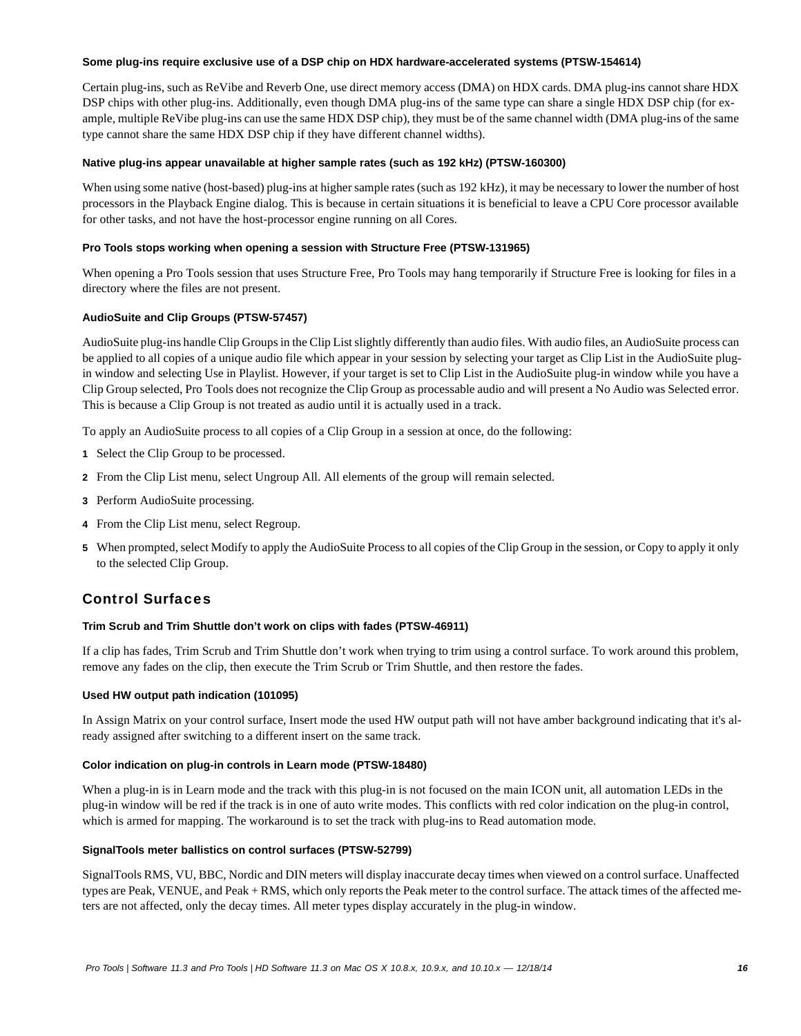### **Some plug-ins require exclusive use of a DSP chip on HDX hardware-accelerated systems (PTSW-154614)**

Certain plug-ins, such as ReVibe and Reverb One, use direct memory access (DMA) on HDX cards. DMA plug-ins cannot share HDX DSP chips with other plug-ins. Additionally, even though DMA plug-ins of the same type can share a single HDX DSP chip (for example, multiple ReVibe plug-ins can use the same HDX DSP chip), they must be of the same channel width (DMA plug-ins of the same type cannot share the same HDX DSP chip if they have different channel widths).

### **Native plug-ins appear unavailable at higher sample rates (such as 192 kHz) (PTSW-160300)**

When using some native (host-based) plug-ins at higher sample rates (such as 192 kHz), it may be necessary to lower the number of host processors in the Playback Engine dialog. This is because in certain situations it is beneficial to leave a CPU Core processor available for other tasks, and not have the host-processor engine running on all Cores.

### **Pro Tools stops working when opening a session with Structure Free (PTSW-131965)**

When opening a Pro Tools session that uses Structure Free, Pro Tools may hang temporarily if Structure Free is looking for files in a directory where the files are not present.

### **AudioSuite and Clip Groups (PTSW-57457)**

AudioSuite plug-ins handle Clip Groups in the Clip List slightly differently than audio files. With audio files, an AudioSuite process can be applied to all copies of a unique audio file which appear in your session by selecting your target as Clip List in the AudioSuite plugin window and selecting Use in Playlist. However, if your target is set to Clip List in the AudioSuite plug-in window while you have a Clip Group selected, Pro Tools does not recognize the Clip Group as processable audio and will present a No Audio was Selected error. This is because a Clip Group is not treated as audio until it is actually used in a track.

To apply an AudioSuite process to all copies of a Clip Group in a session at once, do the following:

- **1** Select the Clip Group to be processed.
- **2** From the Clip List menu, select Ungroup All. All elements of the group will remain selected.
- **3** Perform AudioSuite processing.
- **4** From the Clip List menu, select Regroup.
- **5** When prompted, select Modify to apply the AudioSuite Process to all copies of the Clip Group in the session, or Copy to apply it only to the selected Clip Group.

# Control Surfaces

### **Trim Scrub and Trim Shuttle don't work on clips with fades (PTSW-46911)**

If a clip has fades, Trim Scrub and Trim Shuttle don't work when trying to trim using a control surface. To work around this problem, remove any fades on the clip, then execute the Trim Scrub or Trim Shuttle, and then restore the fades.

### **Used HW output path indication (101095)**

In Assign Matrix on your control surface, Insert mode the used HW output path will not have amber background indicating that it's already assigned after switching to a different insert on the same track.

### **Color indication on plug-in controls in Learn mode (PTSW-18480)**

When a plug-in is in Learn mode and the track with this plug-in is not focused on the main ICON unit, all automation LEDs in the plug-in window will be red if the track is in one of auto write modes. This conflicts with red color indication on the plug-in control, which is armed for mapping. The workaround is to set the track with plug-ins to Read automation mode.

### **SignalTools meter ballistics on control surfaces (PTSW-52799)**

SignalTools RMS, VU, BBC, Nordic and DIN meters will display inaccurate decay times when viewed on a control surface. Unaffected types are Peak, VENUE, and Peak + RMS, which only reports the Peak meter to the control surface. The attack times of the affected meters are not affected, only the decay times. All meter types display accurately in the plug-in window.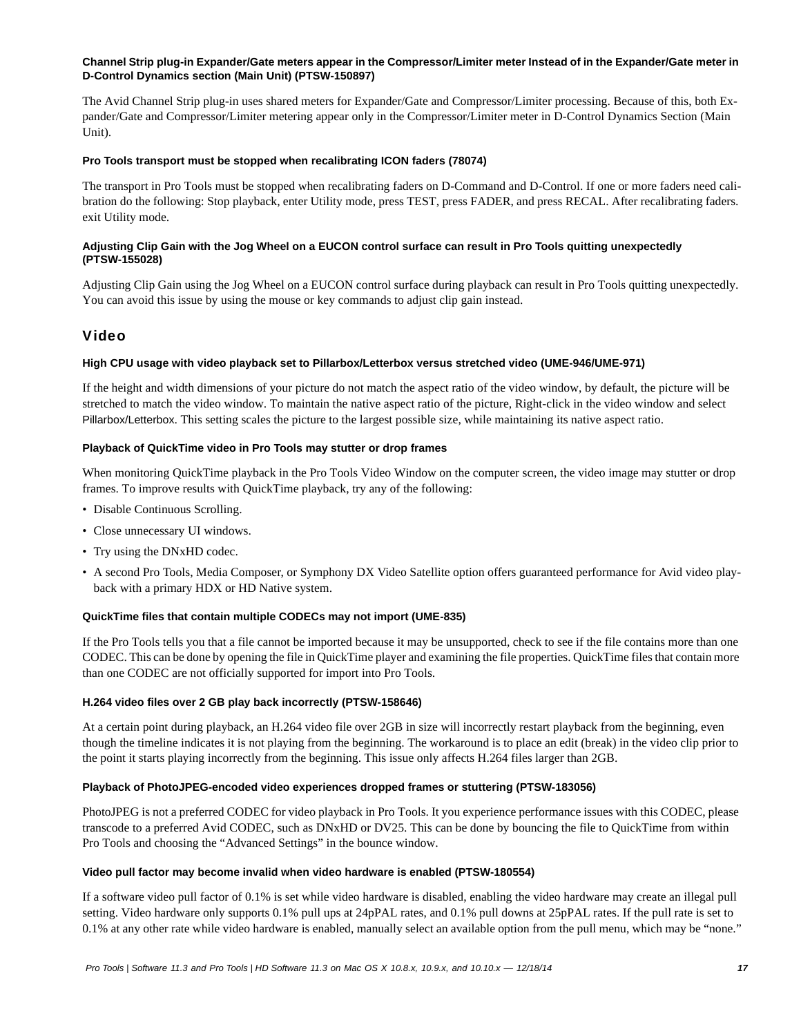### **Channel Strip plug-in Expander/Gate meters appear in the Compressor/Limiter meter Instead of in the Expander/Gate meter in D-Control Dynamics section (Main Unit) (PTSW-150897)**

The Avid Channel Strip plug-in uses shared meters for Expander/Gate and Compressor/Limiter processing. Because of this, both Expander/Gate and Compressor/Limiter metering appear only in the Compressor/Limiter meter in D-Control Dynamics Section (Main Unit).

### **Pro Tools transport must be stopped when recalibrating ICON faders (78074)**

The transport in Pro Tools must be stopped when recalibrating faders on D-Command and D-Control. If one or more faders need calibration do the following: Stop playback, enter Utility mode, press TEST, press FADER, and press RECAL. After recalibrating faders. exit Utility mode.

### **Adjusting Clip Gain with the Jog Wheel on a EUCON control surface can result in Pro Tools quitting unexpectedly (PTSW-155028)**

Adjusting Clip Gain using the Jog Wheel on a EUCON control surface during playback can result in Pro Tools quitting unexpectedly. You can avoid this issue by using the mouse or key commands to adjust clip gain instead.

# Video

### **High CPU usage with video playback set to Pillarbox/Letterbox versus stretched video (UME-946/UME-971)**

If the height and width dimensions of your picture do not match the aspect ratio of the video window, by default, the picture will be stretched to match the video window. To maintain the native aspect ratio of the picture, Right-click in the video window and select Pillarbox/Letterbox. This setting scales the picture to the largest possible size, while maintaining its native aspect ratio.

### **Playback of QuickTime video in Pro Tools may stutter or drop frames**

When monitoring QuickTime playback in the Pro Tools Video Window on the computer screen, the video image may stutter or drop frames. To improve results with QuickTime playback, try any of the following:

- Disable Continuous Scrolling.
- Close unnecessary UI windows.
- Try using the DNxHD codec.
- A second Pro Tools, Media Composer, or Symphony DX Video Satellite option offers guaranteed performance for Avid video playback with a primary HDX or HD Native system.

### **QuickTime files that contain multiple CODECs may not import (UME-835)**

If the Pro Tools tells you that a file cannot be imported because it may be unsupported, check to see if the file contains more than one CODEC. This can be done by opening the file in QuickTime player and examining the file properties. QuickTime files that contain more than one CODEC are not officially supported for import into Pro Tools.

### **H.264 video files over 2 GB play back incorrectly (PTSW-158646)**

At a certain point during playback, an H.264 video file over 2GB in size will incorrectly restart playback from the beginning, even though the timeline indicates it is not playing from the beginning. The workaround is to place an edit (break) in the video clip prior to the point it starts playing incorrectly from the beginning. This issue only affects H.264 files larger than 2GB.

### **Playback of PhotoJPEG-encoded video experiences dropped frames or stuttering (PTSW-183056)**

PhotoJPEG is not a preferred CODEC for video playback in Pro Tools. It you experience performance issues with this CODEC, please transcode to a preferred Avid CODEC, such as DNxHD or DV25. This can be done by bouncing the file to QuickTime from within Pro Tools and choosing the "Advanced Settings" in the bounce window.

### **Video pull factor may become invalid when video hardware is enabled (PTSW-180554)**

If a software video pull factor of 0.1% is set while video hardware is disabled, enabling the video hardware may create an illegal pull setting. Video hardware only supports 0.1% pull ups at 24pPAL rates, and 0.1% pull downs at 25pPAL rates. If the pull rate is set to 0.1% at any other rate while video hardware is enabled, manually select an available option from the pull menu, which may be "none."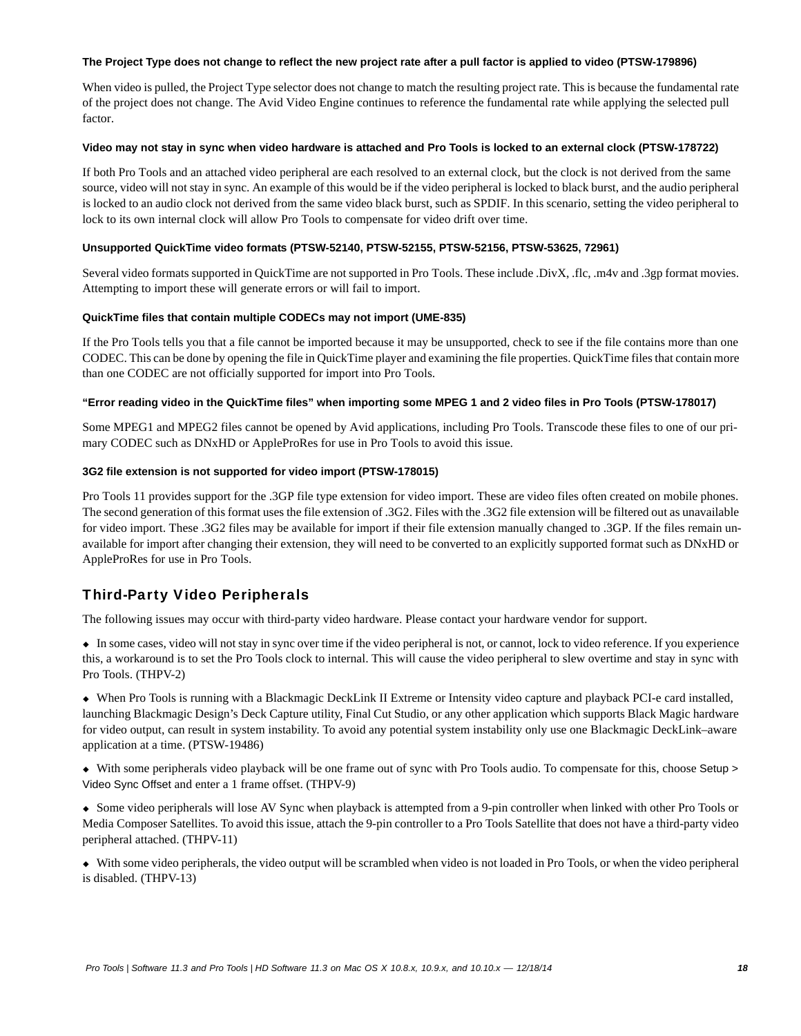### **The Project Type does not change to reflect the new project rate after a pull factor is applied to video (PTSW-179896)**

When video is pulled, the Project Type selector does not change to match the resulting project rate. This is because the fundamental rate of the project does not change. The Avid Video Engine continues to reference the fundamental rate while applying the selected pull factor.

### **Video may not stay in sync when video hardware is attached and Pro Tools is locked to an external clock (PTSW-178722)**

If both Pro Tools and an attached video peripheral are each resolved to an external clock, but the clock is not derived from the same source, video will not stay in sync. An example of this would be if the video peripheral is locked to black burst, and the audio peripheral is locked to an audio clock not derived from the same video black burst, such as SPDIF. In this scenario, setting the video peripheral to lock to its own internal clock will allow Pro Tools to compensate for video drift over time.

### **Unsupported QuickTime video formats (PTSW-52140, PTSW-52155, PTSW-52156, PTSW-53625, 72961)**

Several video formats supported in QuickTime are not supported in Pro Tools. These include .DivX, .flc, .m4v and .3gp format movies. Attempting to import these will generate errors or will fail to import.

### **QuickTime files that contain multiple CODECs may not import (UME-835)**

If the Pro Tools tells you that a file cannot be imported because it may be unsupported, check to see if the file contains more than one CODEC. This can be done by opening the file in QuickTime player and examining the file properties. QuickTime files that contain more than one CODEC are not officially supported for import into Pro Tools.

### **"Error reading video in the QuickTime files" when importing some MPEG 1 and 2 video files in Pro Tools (PTSW-178017)**

Some MPEG1 and MPEG2 files cannot be opened by Avid applications, including Pro Tools. Transcode these files to one of our primary CODEC such as DNxHD or AppleProRes for use in Pro Tools to avoid this issue.

### **3G2 file extension is not supported for video import (PTSW-178015)**

Pro Tools 11 provides support for the .3GP file type extension for video import. These are video files often created on mobile phones. The second generation of this format uses the file extension of .3G2. Files with the .3G2 file extension will be filtered out as unavailable for video import. These .3G2 files may be available for import if their file extension manually changed to .3GP. If the files remain unavailable for import after changing their extension, they will need to be converted to an explicitly supported format such as DNxHD or AppleProRes for use in Pro Tools.

# Third-Party Video Peripherals

The following issues may occur with third-party video hardware. Please contact your hardware vendor for support.

 In some cases, video will not stay in sync over time if the video peripheral is not, or cannot, lock to video reference. If you experience this, a workaround is to set the Pro Tools clock to internal. This will cause the video peripheral to slew overtime and stay in sync with Pro Tools. (THPV-2)

 When Pro Tools is running with a Blackmagic DeckLink II Extreme or Intensity video capture and playback PCI-e card installed, launching Blackmagic Design's Deck Capture utility, Final Cut Studio, or any other application which supports Black Magic hardware for video output, can result in system instability. To avoid any potential system instability only use one Blackmagic DeckLink–aware application at a time. (PTSW-19486)

 With some peripherals video playback will be one frame out of sync with Pro Tools audio. To compensate for this, choose Setup > Video Sync Offset and enter a 1 frame offset. (THPV-9)

 Some video peripherals will lose AV Sync when playback is attempted from a 9-pin controller when linked with other Pro Tools or Media Composer Satellites. To avoid this issue, attach the 9-pin controller to a Pro Tools Satellite that does not have a third-party video peripheral attached. (THPV-11)

 With some video peripherals, the video output will be scrambled when video is not loaded in Pro Tools, or when the video peripheral is disabled. (THPV-13)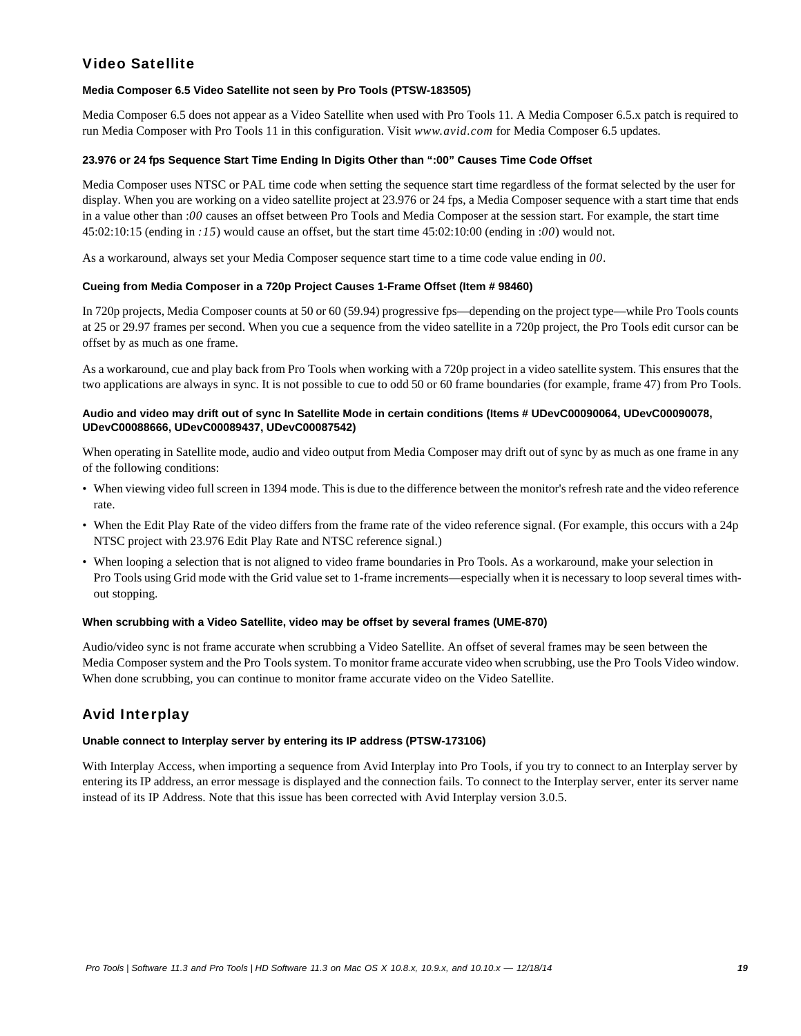# Video Satellite

### **Media Composer 6.5 Video Satellite not seen by Pro Tools (PTSW-183505)**

Media Composer 6.5 does not appear as a Video Satellite when used with Pro Tools 11. A Media Composer 6.5.x patch is required to run Media Composer with Pro Tools 11 in this configuration. Visit *www.avid.com* for Media Composer 6.5 updates.

### **23.976 or 24 fps Sequence Start Time Ending In Digits Other than ":00" Causes Time Code Offset**

Media Composer uses NTSC or PAL time code when setting the sequence start time regardless of the format selected by the user for display. When you are working on a video satellite project at 23.976 or 24 fps, a Media Composer sequence with a start time that ends in a value other than :*00* causes an offset between Pro Tools and Media Composer at the session start. For example, the start time 45:02:10:15 (ending in *:15*) would cause an offset, but the start time 45:02:10:00 (ending in :*00*) would not.

As a workaround, always set your Media Composer sequence start time to a time code value ending in *00*.

### **Cueing from Media Composer in a 720p Project Causes 1-Frame Offset (Item # 98460)**

In 720p projects, Media Composer counts at 50 or 60 (59.94) progressive fps—depending on the project type—while Pro Tools counts at 25 or 29.97 frames per second. When you cue a sequence from the video satellite in a 720p project, the Pro Tools edit cursor can be offset by as much as one frame.

As a workaround, cue and play back from Pro Tools when working with a 720p project in a video satellite system. This ensures that the two applications are always in sync. It is not possible to cue to odd 50 or 60 frame boundaries (for example, frame 47) from Pro Tools.

### **Audio and video may drift out of sync In Satellite Mode in certain conditions (Items # UDevC00090064, UDevC00090078, UDevC00088666, UDevC00089437, UDevC00087542)**

When operating in Satellite mode, audio and video output from Media Composer may drift out of sync by as much as one frame in any of the following conditions:

- When viewing video full screen in 1394 mode. This is due to the difference between the monitor's refresh rate and the video reference rate.
- When the Edit Play Rate of the video differs from the frame rate of the video reference signal. (For example, this occurs with a 24p NTSC project with 23.976 Edit Play Rate and NTSC reference signal.)
- When looping a selection that is not aligned to video frame boundaries in Pro Tools. As a workaround, make your selection in Pro Tools using Grid mode with the Grid value set to 1-frame increments—especially when it is necessary to loop several times without stopping.

### **When scrubbing with a Video Satellite, video may be offset by several frames (UME-870)**

Audio/video sync is not frame accurate when scrubbing a Video Satellite. An offset of several frames may be seen between the Media Composer system and the Pro Tools system. To monitor frame accurate video when scrubbing, use the Pro Tools Video window. When done scrubbing, you can continue to monitor frame accurate video on the Video Satellite.

# Avid Interplay

### **Unable connect to Interplay server by entering its IP address (PTSW-173106)**

With Interplay Access, when importing a sequence from Avid Interplay into Pro Tools, if you try to connect to an Interplay server by entering its IP address, an error message is displayed and the connection fails. To connect to the Interplay server, enter its server name instead of its IP Address. Note that this issue has been corrected with Avid Interplay version 3.0.5.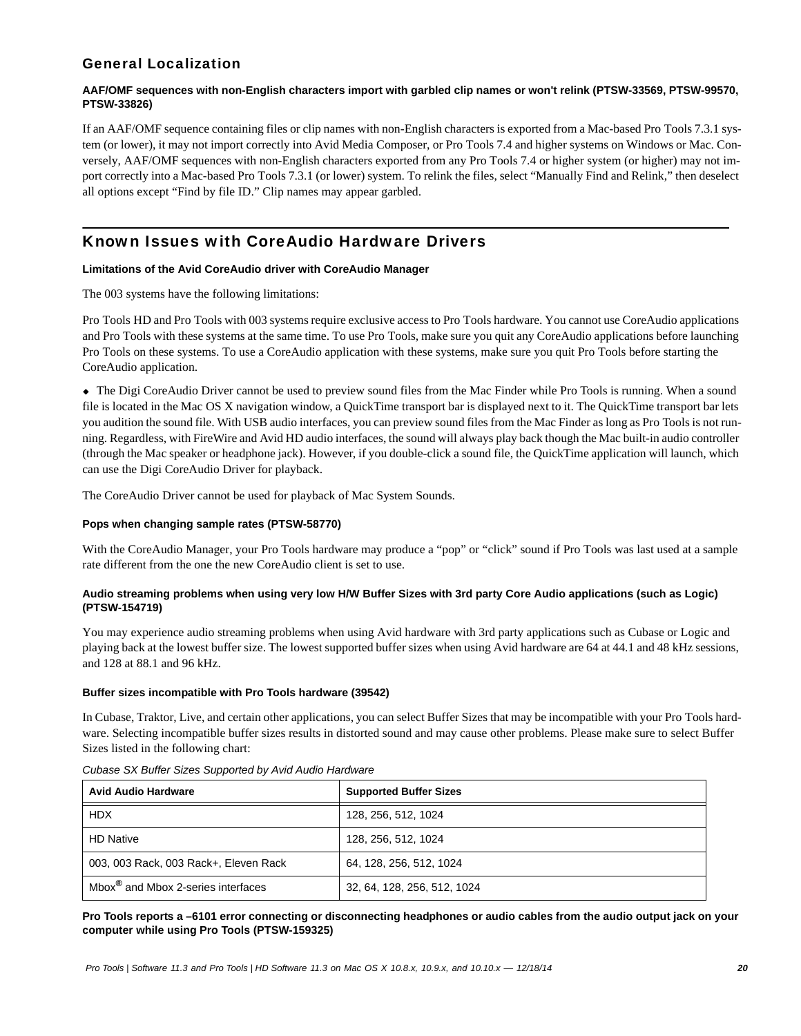# General Localization

### **AAF/OMF sequences with non-English characters import with garbled clip names or won't relink (PTSW-33569, PTSW-99570, PTSW-33826)**

If an AAF/OMF sequence containing files or clip names with non-English characters is exported from a Mac-based Pro Tools 7.3.1 system (or lower), it may not import correctly into Avid Media Composer, or Pro Tools 7.4 and higher systems on Windows or Mac. Conversely, AAF/OMF sequences with non-English characters exported from any Pro Tools 7.4 or higher system (or higher) may not import correctly into a Mac-based Pro Tools 7.3.1 (or lower) system. To relink the files, select "Manually Find and Relink," then deselect all options except "Find by file ID." Clip names may appear garbled.

# Known Issues with CoreAudio Hardware Drivers

### **Limitations of the Avid CoreAudio driver with CoreAudio Manager**

The 003 systems have the following limitations:

Pro Tools HD and Pro Tools with 003 systems require exclusive access to Pro Tools hardware. You cannot use CoreAudio applications and Pro Tools with these systems at the same time. To use Pro Tools, make sure you quit any CoreAudio applications before launching Pro Tools on these systems. To use a CoreAudio application with these systems, make sure you quit Pro Tools before starting the CoreAudio application.

 The Digi CoreAudio Driver cannot be used to preview sound files from the Mac Finder while Pro Tools is running. When a sound file is located in the Mac OS X navigation window, a QuickTime transport bar is displayed next to it. The QuickTime transport bar lets you audition the sound file. With USB audio interfaces, you can preview sound files from the Mac Finder as long as Pro Tools is not running. Regardless, with FireWire and Avid HD audio interfaces, the sound will always play back though the Mac built-in audio controller (through the Mac speaker or headphone jack). However, if you double-click a sound file, the QuickTime application will launch, which can use the Digi CoreAudio Driver for playback.

The CoreAudio Driver cannot be used for playback of Mac System Sounds.

### **Pops when changing sample rates (PTSW-58770)**

With the CoreAudio Manager, your Pro Tools hardware may produce a "pop" or "click" sound if Pro Tools was last used at a sample rate different from the one the new CoreAudio client is set to use.

### **Audio streaming problems when using very low H/W Buffer Sizes with 3rd party Core Audio applications (such as Logic) (PTSW-154719)**

You may experience audio streaming problems when using Avid hardware with 3rd party applications such as Cubase or Logic and playing back at the lowest buffer size. The lowest supported buffer sizes when using Avid hardware are 64 at 44.1 and 48 kHz sessions, and 128 at 88.1 and 96 kHz.

### **Buffer sizes incompatible with Pro Tools hardware (39542)**

In Cubase, Traktor, Live, and certain other applications, you can select Buffer Sizes that may be incompatible with your Pro Tools hardware. Selecting incompatible buffer sizes results in distorted sound and may cause other problems. Please make sure to select Buffer Sizes listed in the following chart:

| <b>Avid Audio Hardware</b>                     | <b>Supported Buffer Sizes</b> |
|------------------------------------------------|-------------------------------|
| <b>HDX</b>                                     | 128, 256, 512, 1024           |
| <b>HD Native</b>                               | 128, 256, 512, 1024           |
| 003, 003 Rack, 003 Rack+, Eleven Rack          | 64, 128, 256, 512, 1024       |
| Mbox <sup>®</sup> and Mbox 2-series interfaces | 32, 64, 128, 256, 512, 1024   |

### *Cubase SX Buffer Sizes Supported by Avid Audio Hardware*

**Pro Tools reports a –6101 error connecting or disconnecting headphones or audio cables from the audio output jack on your computer while using Pro Tools (PTSW-159325)**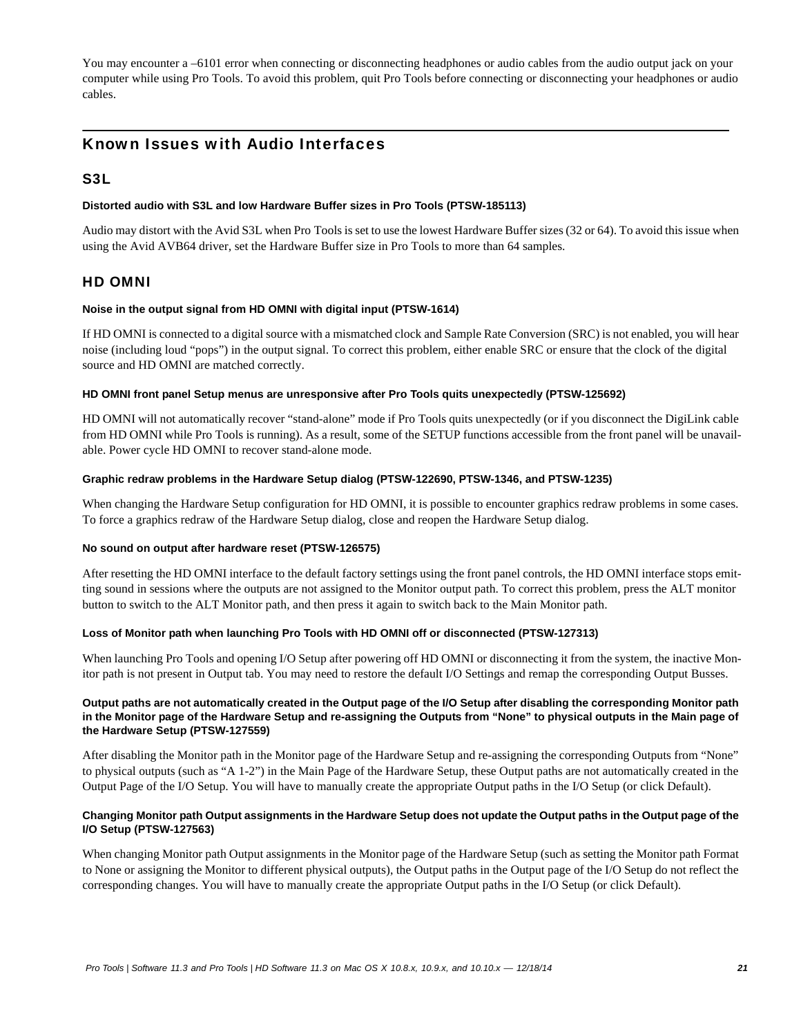You may encounter a –6101 error when connecting or disconnecting headphones or audio cables from the audio output jack on your computer while using Pro Tools. To avoid this problem, quit Pro Tools before connecting or disconnecting your headphones or audio cables.

# Known Issues with Audio Interfaces

### S3L

### **Distorted audio with S3L and low Hardware Buffer sizes in Pro Tools (PTSW-185113)**

Audio may distort with the Avid S3L when Pro Tools is set to use the lowest Hardware Buffer sizes (32 or 64). To avoid this issue when using the Avid AVB64 driver, set the Hardware Buffer size in Pro Tools to more than 64 samples.

### HD OMNI

### **Noise in the output signal from HD OMNI with digital input (PTSW-1614)**

If HD OMNI is connected to a digital source with a mismatched clock and Sample Rate Conversion (SRC) is not enabled, you will hear noise (including loud "pops") in the output signal. To correct this problem, either enable SRC or ensure that the clock of the digital source and HD OMNI are matched correctly.

### **HD OMNI front panel Setup menus are unresponsive after Pro Tools quits unexpectedly (PTSW-125692)**

HD OMNI will not automatically recover "stand-alone" mode if Pro Tools quits unexpectedly (or if you disconnect the DigiLink cable from HD OMNI while Pro Tools is running). As a result, some of the SETUP functions accessible from the front panel will be unavailable. Power cycle HD OMNI to recover stand-alone mode.

### **Graphic redraw problems in the Hardware Setup dialog (PTSW-122690, PTSW-1346, and PTSW-1235)**

When changing the Hardware Setup configuration for HD OMNI, it is possible to encounter graphics redraw problems in some cases. To force a graphics redraw of the Hardware Setup dialog, close and reopen the Hardware Setup dialog.

### **No sound on output after hardware reset (PTSW-126575)**

After resetting the HD OMNI interface to the default factory settings using the front panel controls, the HD OMNI interface stops emitting sound in sessions where the outputs are not assigned to the Monitor output path. To correct this problem, press the ALT monitor button to switch to the ALT Monitor path, and then press it again to switch back to the Main Monitor path.

### **Loss of Monitor path when launching Pro Tools with HD OMNI off or disconnected (PTSW-127313)**

When launching Pro Tools and opening I/O Setup after powering off HD OMNI or disconnecting it from the system, the inactive Monitor path is not present in Output tab. You may need to restore the default I/O Settings and remap the corresponding Output Busses.

### **Output paths are not automatically created in the Output page of the I/O Setup after disabling the corresponding Monitor path in the Monitor page of the Hardware Setup and re-assigning the Outputs from "None" to physical outputs in the Main page of the Hardware Setup (PTSW-127559)**

After disabling the Monitor path in the Monitor page of the Hardware Setup and re-assigning the corresponding Outputs from "None" to physical outputs (such as "A 1-2") in the Main Page of the Hardware Setup, these Output paths are not automatically created in the Output Page of the I/O Setup. You will have to manually create the appropriate Output paths in the I/O Setup (or click Default).

### **Changing Monitor path Output assignments in the Hardware Setup does not update the Output paths in the Output page of the I/O Setup (PTSW-127563)**

When changing Monitor path Output assignments in the Monitor page of the Hardware Setup (such as setting the Monitor path Format to None or assigning the Monitor to different physical outputs), the Output paths in the Output page of the I/O Setup do not reflect the corresponding changes. You will have to manually create the appropriate Output paths in the I/O Setup (or click Default).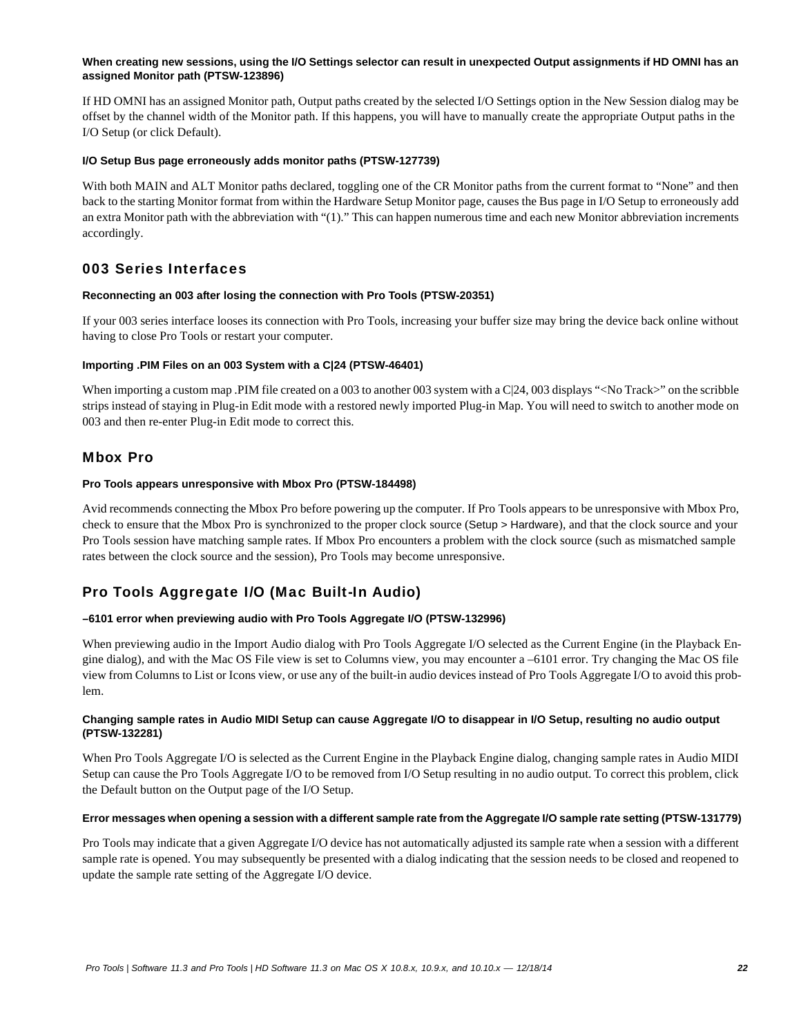### **When creating new sessions, using the I/O Settings selector can result in unexpected Output assignments if HD OMNI has an assigned Monitor path (PTSW-123896)**

If HD OMNI has an assigned Monitor path, Output paths created by the selected I/O Settings option in the New Session dialog may be offset by the channel width of the Monitor path. If this happens, you will have to manually create the appropriate Output paths in the I/O Setup (or click Default).

### **I/O Setup Bus page erroneously adds monitor paths (PTSW-127739)**

With both MAIN and ALT Monitor paths declared, toggling one of the CR Monitor paths from the current format to "None" and then back to the starting Monitor format from within the Hardware Setup Monitor page, causes the Bus page in I/O Setup to erroneously add an extra Monitor path with the abbreviation with "(1)." This can happen numerous time and each new Monitor abbreviation increments accordingly.

# 003 Series Interfaces

### **Reconnecting an 003 after losing the connection with Pro Tools (PTSW-20351)**

If your 003 series interface looses its connection with Pro Tools, increasing your buffer size may bring the device back online without having to close Pro Tools or restart your computer.

### **Importing .PIM Files on an 003 System with a C|24 (PTSW-46401)**

When importing a custom map .PIM file created on a 003 to another 003 system with a C|24, 003 displays "<No Track>" on the scribble strips instead of staying in Plug-in Edit mode with a restored newly imported Plug-in Map. You will need to switch to another mode on 003 and then re-enter Plug-in Edit mode to correct this.

### Mbox Pro

### **Pro Tools appears unresponsive with Mbox Pro (PTSW-184498)**

Avid recommends connecting the Mbox Pro before powering up the computer. If Pro Tools appears to be unresponsive with Mbox Pro, check to ensure that the Mbox Pro is synchronized to the proper clock source (Setup > Hardware), and that the clock source and your Pro Tools session have matching sample rates. If Mbox Pro encounters a problem with the clock source (such as mismatched sample rates between the clock source and the session), Pro Tools may become unresponsive.

# Pro Tools Aggregate I/O (Mac Built-In Audio)

### **–6101 error when previewing audio with Pro Tools Aggregate I/O (PTSW-132996)**

When previewing audio in the Import Audio dialog with Pro Tools Aggregate I/O selected as the Current Engine (in the Playback Engine dialog), and with the Mac OS File view is set to Columns view, you may encounter a –6101 error. Try changing the Mac OS file view from Columns to List or Icons view, or use any of the built-in audio devices instead of Pro Tools Aggregate I/O to avoid this problem.

### **Changing sample rates in Audio MIDI Setup can cause Aggregate I/O to disappear in I/O Setup, resulting no audio output (PTSW-132281)**

When Pro Tools Aggregate I/O is selected as the Current Engine in the Playback Engine dialog, changing sample rates in Audio MIDI Setup can cause the Pro Tools Aggregate I/O to be removed from I/O Setup resulting in no audio output. To correct this problem, click the Default button on the Output page of the I/O Setup.

### **Error messages when opening a session with a different sample rate from the Aggregate I/O sample rate setting (PTSW-131779)**

Pro Tools may indicate that a given Aggregate I/O device has not automatically adjusted its sample rate when a session with a different sample rate is opened. You may subsequently be presented with a dialog indicating that the session needs to be closed and reopened to update the sample rate setting of the Aggregate I/O device.